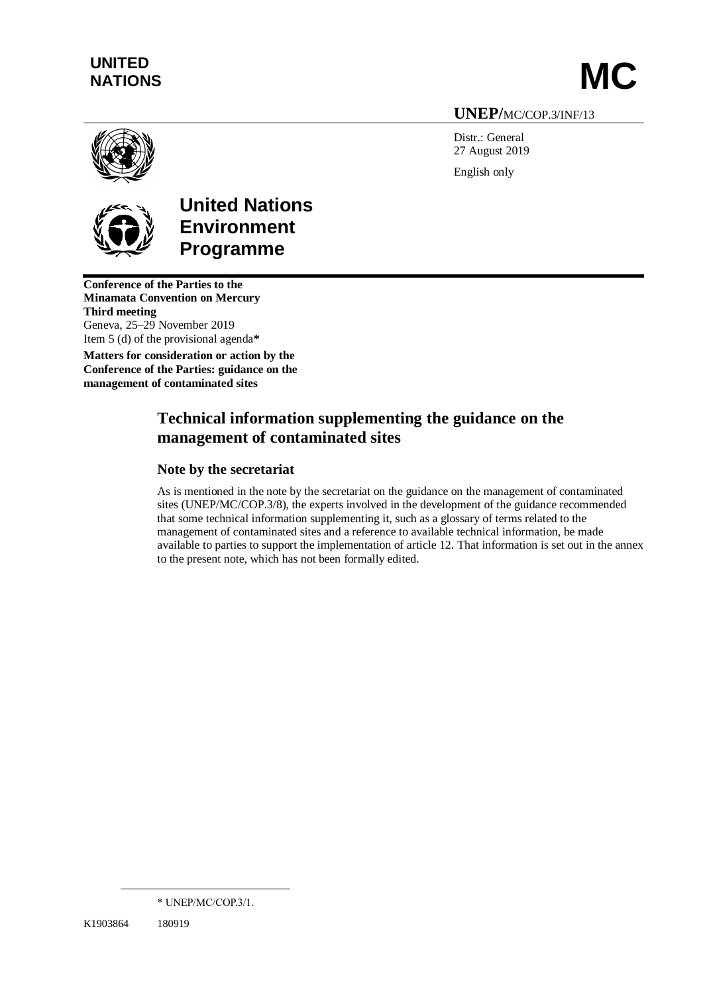# **UNITED**  UNITED<br>NATIONS **MC**

## **UNEP/**MC/COP.3/INF/13

Distr.: General 27 August 2019 English only



**United Nations Environment Programme**

**Conference of the Parties to the Minamata Convention on Mercury Third meeting** Geneva, 25–29 November 2019 Item 5 (d) of the provisional agenda**\***

**Matters for consideration or action by the Conference of the Parties: guidance on the management of contaminated sites**

# **Technical information supplementing the guidance on the management of contaminated sites**

## **Note by the secretariat**

As is mentioned in the note by the secretariat on the guidance on the management of contaminated sites (UNEP/MC/COP.3/8), the experts involved in the development of the guidance recommended that some technical information supplementing it, such as a glossary of terms related to the management of contaminated sites and a reference to available technical information, be made available to parties to support the implementation of article 12. That information is set out in the annex to the present note, which has not been formally edited.

<sup>\*</sup> UNEP/MC/COP.3/1.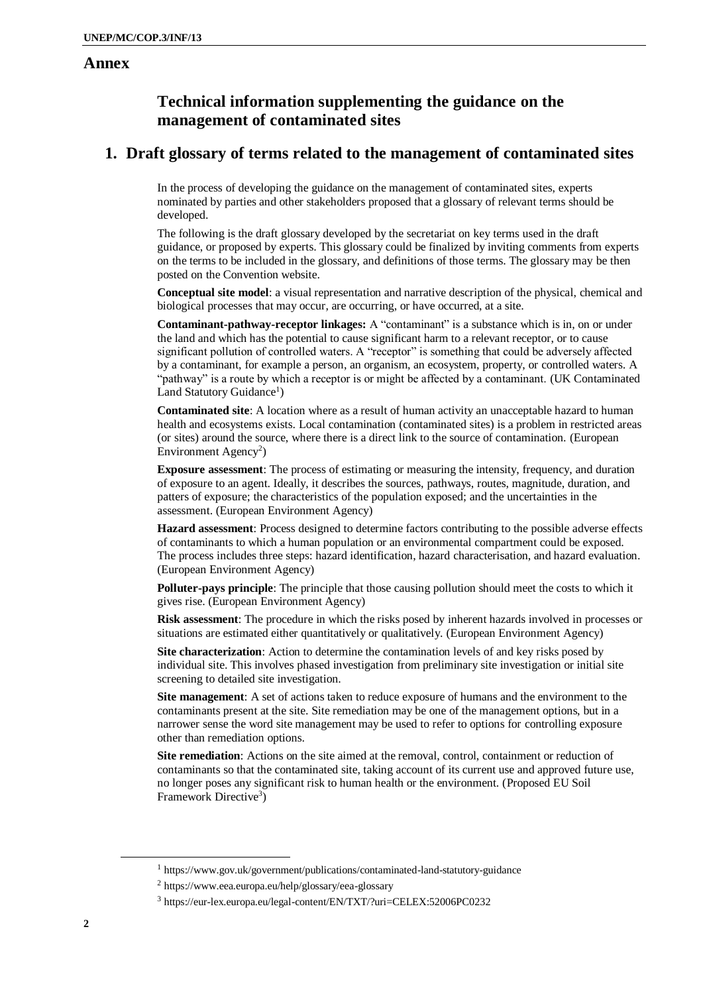### **Annex**

## **Technical information supplementing the guidance on the management of contaminated sites**

# **1. Draft glossary of terms related to the management of contaminated sites**

In the process of developing the guidance on the management of contaminated sites, experts nominated by parties and other stakeholders proposed that a glossary of relevant terms should be developed.

The following is the draft glossary developed by the secretariat on key terms used in the draft guidance, or proposed by experts. This glossary could be finalized by inviting comments from experts on the terms to be included in the glossary, and definitions of those terms. The glossary may be then posted on the Convention website.

**Conceptual site model**: a visual representation and narrative description of the physical, chemical and biological processes that may occur, are occurring, or have occurred, at a site.

**Contaminant-pathway-receptor linkages:** A "contaminant" is a substance which is in, on or under the land and which has the potential to cause significant harm to a relevant receptor, or to cause significant pollution of controlled waters. A "receptor" is something that could be adversely affected by a contaminant, for example a person, an organism, an ecosystem, property, or controlled waters. A "pathway" is a route by which a receptor is or might be affected by a contaminant. (UK Contaminated Land Statutory Guidance<sup>1</sup>)

**Contaminated site**: A location where as a result of human activity an unacceptable hazard to human health and ecosystems exists. Local contamination (contaminated sites) is a problem in restricted areas (or sites) around the source, where there is a direct link to the source of contamination. (European Environment Agency<sup>2</sup>)

**Exposure assessment**: The process of estimating or measuring the intensity, frequency, and duration of exposure to an agent. Ideally, it describes the sources, pathways, routes, magnitude, duration, and patters of exposure; the characteristics of the population exposed; and the uncertainties in the assessment. (European Environment Agency)

**Hazard assessment**: Process designed to determine factors contributing to the possible adverse effects of contaminants to which a human population or an environmental compartment could be exposed. The process includes three steps: hazard identification, hazard characterisation, and hazard evaluation. (European Environment Agency)

**Polluter-pays principle**: The principle that those causing pollution should meet the costs to which it gives rise. (European Environment Agency)

**Risk assessment**: The procedure in which the risks posed by inherent hazards involved in processes or situations are estimated either quantitatively or qualitatively. (European Environment Agency)

**Site characterization**: Action to determine the contamination levels of and key risks posed by individual site. This involves phased investigation from preliminary site investigation or initial site screening to detailed site investigation.

**Site management**: A set of actions taken to reduce exposure of humans and the environment to the contaminants present at the site. Site remediation may be one of the management options, but in a narrower sense the word site management may be used to refer to options for controlling exposure other than remediation options.

**Site remediation**: Actions on the site aimed at the removal, control, containment or reduction of contaminants so that the contaminated site, taking account of its current use and approved future use, no longer poses any significant risk to human health or the environment. (Proposed EU Soil Framework Directive<sup>3</sup>)

<sup>1</sup> https://www.gov.uk/government/publications/contaminated-land-statutory-guidance

<sup>2</sup> https://www.eea.europa.eu/help/glossary/eea-glossary

<sup>3</sup> https://eur-lex.europa.eu/legal-content/EN/TXT/?uri=CELEX:52006PC0232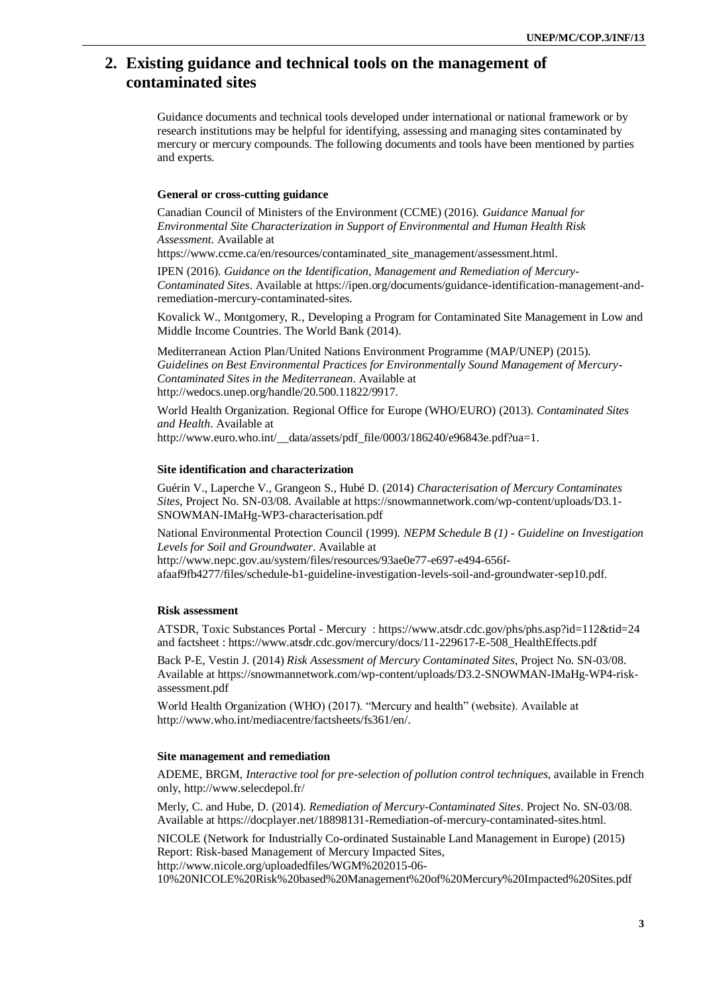# **2. Existing guidance and technical tools on the management of contaminated sites**

Guidance documents and technical tools developed under international or national framework or by research institutions may be helpful for identifying, assessing and managing sites contaminated by mercury or mercury compounds. The following documents and tools have been mentioned by parties and experts.

#### **General or cross-cutting guidance**

Canadian Council of Ministers of the Environment (CCME) (2016). *Guidance Manual for Environmental Site Characterization in Support of Environmental and Human Health Risk Assessment*. Available at

https://www.ccme.ca/en/resources/contaminated\_site\_management/assessment.html.

IPEN (2016). *Guidance on the Identification, Management and Remediation of Mercury-Contaminated Sites*. Available at https://ipen.org/documents/guidance-identification-management-andremediation-mercury-contaminated-sites.

Kovalick W., Montgomery, R.[, Developing a Program for Contaminated Site Management in Low and](https://openknowledge.worldbank.org/bitstream/handle/10986/18631/880700WP0Conta00Box385209B00PUBLIC0.pdf?sequence=1&isAllowed=y)  [Middle Income Countries.](https://openknowledge.worldbank.org/bitstream/handle/10986/18631/880700WP0Conta00Box385209B00PUBLIC0.pdf?sequence=1&isAllowed=y) The World Bank (2014).

Mediterranean Action Plan/United Nations Environment Programme (MAP/UNEP) (2015). *Guidelines on Best Environmental Practices for Environmentally Sound Management of Mercury-Contaminated Sites in the Mediterranean*. Available at http://wedocs.unep.org/handle/20.500.11822/9917.

World Health Organization. Regional Office for Europe (WHO/EURO) (2013). *Contaminated Sites and Health*. Available at

http://www.euro.who.int/\_data/assets/pdf\_file/0003/186240/e96843e.pdf?ua=1.

#### **Site identification and characterization**

Guérin V., Laperche V., Grangeon S., Hubé D. (2014) *Characterisation of Mercury Contaminates Sites*, Project No. SN-03/08. Available at https://snowmannetwork.com/wp-content/uploads/D3.1- SNOWMAN-IMaHg-WP3-characterisation.pdf

National Environmental Protection Council (1999). *NEPM Schedule B (1) - Guideline on Investigation Levels for Soil and Groundwater*. Available at http://www.nepc.gov.au/system/files/resources/93ae0e77-e697-e494-656f-

afaaf9fb4277/files/schedule-b1-guideline-investigation-levels-soil-and-groundwater-sep10.pdf.

#### **Risk assessment**

ATSDR, [Toxic Substances Portal](https://www.atsdr.cdc.gov/substances/index.asp) - [Mercury](https://www.atsdr.cdc.gov/substances/toxsubstance.asp?toxid=24) [: https://www.atsdr.cdc.gov/phs/phs.asp?id=112&tid=24](https://www.atsdr.cdc.gov/phs/phs.asp?id=112&tid=24) and factsheet [: https://www.atsdr.cdc.gov/mercury/docs/11-229617-E-508\\_HealthEffects.pdf](https://www.atsdr.cdc.gov/mercury/docs/11-229617-E-508_HealthEffects.pdf)

Back P-E, Vestin J. (2014) *Risk Assessment of Mercury Contaminated Sites*, Project No. SN-03/08. Available at [https://snowmannetwork.com/wp-content/uploads/D3.2-SNOWMAN-IMaHg-WP4-risk](https://snowmannetwork.com/wp-content/uploads/D3.2-SNOWMAN-IMaHg-WP4-risk-assessment.pdf)[assessment.pdf](https://snowmannetwork.com/wp-content/uploads/D3.2-SNOWMAN-IMaHg-WP4-risk-assessment.pdf)

World Health Organization (WHO) (2017). "Mercury and health" (website). Available at [http://www.who.int/mediacentre/factsheets/fs361/en/.](http://www.who.int/mediacentre/factsheets/fs361/en/)

#### **Site management and remediation**

ADEME, BRGM, *Interactive tool for pre-selection of pollution control techniques*, available in French only,<http://www.selecdepol.fr/>

Merly, C. and Hube, D. (2014). *Remediation of Mercury-Contaminated Sites*. Project No. SN-03/08. Available at https://docplayer.net/18898131-Remediation-of-mercury-contaminated-sites.html.

NICOLE (Network for Industrially Co-ordinated Sustainable Land Management in Europe) (2015) Report: Risk-based Management of Mercury Impacted Sites, http://www.nicole.org/uploadedfiles/WGM%202015-06-

10%20NICOLE%20Risk%20based%20Management%20of%20Mercury%20Impacted%20Sites.pdf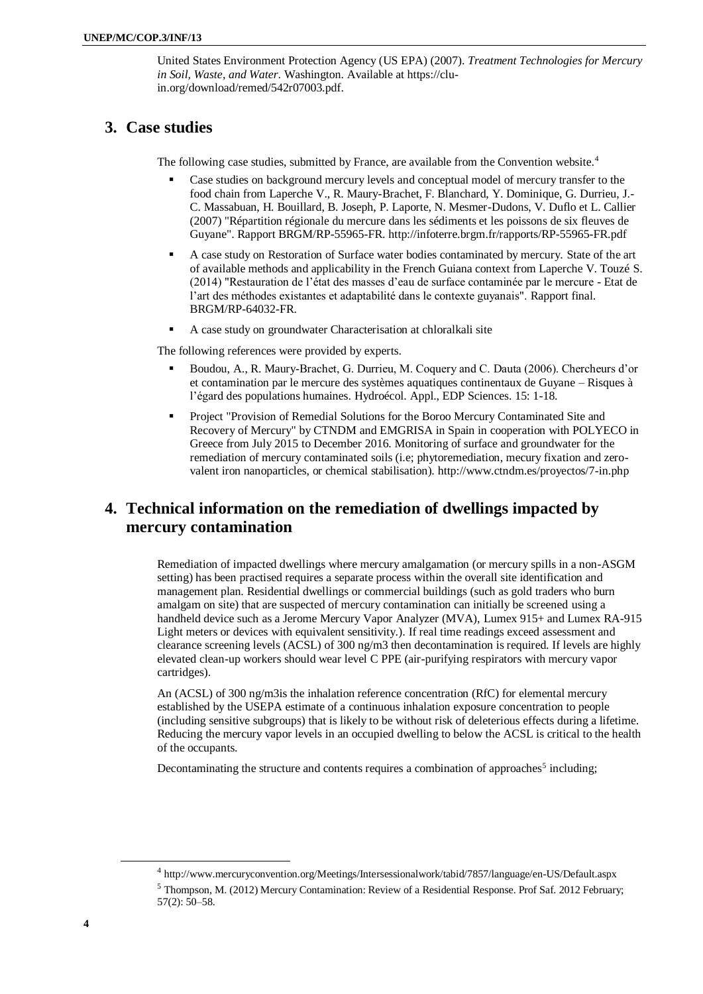United States Environment Protection Agency (US EPA) (2007). *Treatment Technologies for Mercury in Soil, Waste, and Water*. Washington. Available at [https://clu](https://clu-in.org/download/remed/542r07003.pdf)[in.org/download/remed/542r07003.pdf.](https://clu-in.org/download/remed/542r07003.pdf)

# **3. Case studies**

The following case studies, submitted by France, are available from the Convention website.<sup>4</sup>

- Case studies on background mercury levels and conceptual model of mercury transfer to the food chain from Laperche V., R. Maury-Brachet, F. Blanchard, Y. Dominique, G. Durrieu, J.- C. Massabuan, H. Bouillard, B. Joseph, P. Laporte, N. Mesmer-Dudons, V. Duflo et L. Callier (2007) "Répartition régionale du mercure dans les sédiments et les poissons de six fleuves de Guyane". Rapport BRGM/RP-55965-FR. http://infoterre.brgm.fr/rapports/RP-55965-FR.pdf
- A case study on Restoration of Surface water bodies contaminated by mercury. State of the art of available methods and applicability in the French Guiana context from Laperche V. Touzé S. (2014) "Restauration de l'état des masses d'eau de surface contaminée par le mercure - Etat de l'art des méthodes existantes et adaptabilité dans le contexte guyanais". Rapport final. BRGM/RP-64032-FR.
- A case study on groundwater Characterisation at chloralkali site

The following references were provided by experts.

- Boudou, A., R. Maury-Brachet, G. Durrieu, M. Coquery and C. Dauta (2006). Chercheurs d'or et contamination par le mercure des systèmes aquatiques continentaux de Guyane – Risques à l'égard des populations humaines. Hydroécol. Appl., EDP Sciences. 15: 1-18.
- Project "Provision of Remedial Solutions for the Boroo Mercury Contaminated Site and Recovery of Mercury" by CTNDM and EMGRISA in Spain in cooperation with POLYECO in Greece from July 2015 to December 2016. Monitoring of surface and groundwater for the remediation of mercury contaminated soils (i.e; phytoremediation, mecury fixation and zerovalent iron nanoparticles, or chemical stabilisation).<http://www.ctndm.es/proyectos/7-in.php>

# **4. Technical information on the remediation of dwellings impacted by mercury contamination**

Remediation of impacted dwellings where mercury amalgamation (or mercury spills in a non-ASGM setting) has been practised requires a separate process within the overall site identification and management plan. Residential dwellings or commercial buildings (such as gold traders who burn amalgam on site) that are suspected of mercury contamination can initially be screened using a handheld device such as a Jerome Mercury Vapor Analyzer (MVA), Lumex 915+ and Lumex RA-915 Light meters or devices with equivalent sensitivity.). If real time readings exceed assessment and clearance screening levels (ACSL) of 300 ng/m3 then decontamination is required. If levels are highly elevated clean-up workers should wear level C PPE (air-purifying respirators with mercury vapor cartridges).

An (ACSL) of 300 ng/m3is the inhalation reference concentration (RfC) for elemental mercury established by the USEPA estimate of a continuous inhalation exposure concentration to people (including sensitive subgroups) that is likely to be without risk of deleterious effects during a lifetime. Reducing the mercury vapor levels in an occupied dwelling to below the ACSL is critical to the health of the occupants.

Decontaminating the structure and contents requires a combination of approaches<sup>5</sup> including;

<sup>4</sup> http://www.mercuryconvention.org/Meetings/Intersessionalwork/tabid/7857/language/en-US/Default.aspx

<sup>5</sup> Thompson, M. (2012) Mercury Contamination: Review of a Residential Response. Prof Saf. 2012 February; 57(2): 50–58.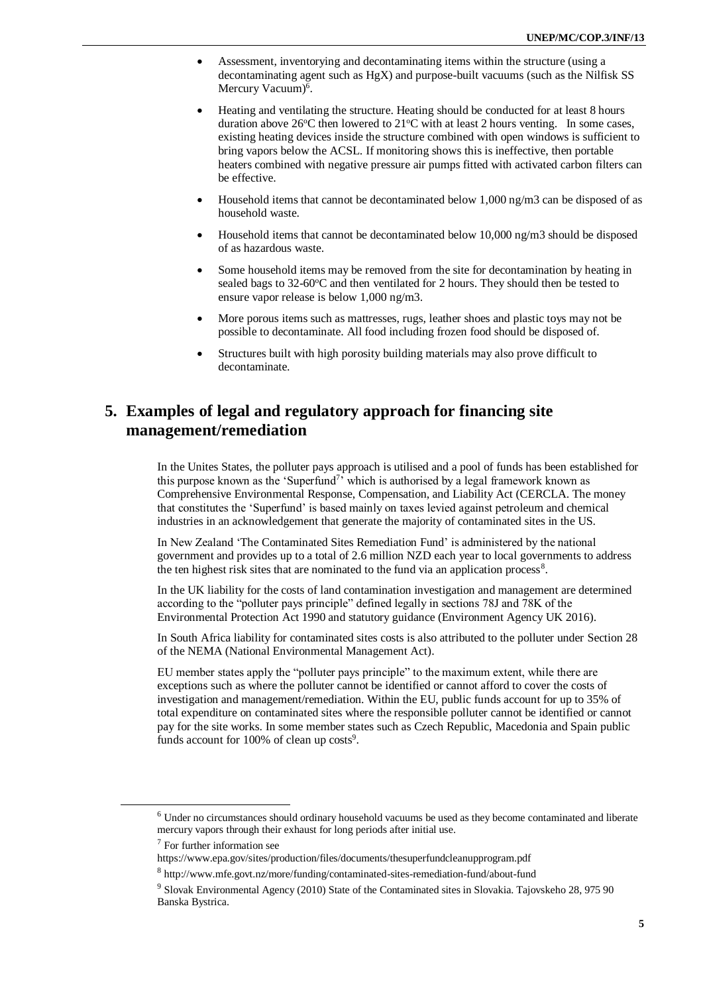- Assessment, inventorying and decontaminating items within the structure (using a decontaminating agent such as HgX) and purpose-built vacuums (such as the Nilfisk SS Mercury Vacuum)<sup>6</sup>.
- Heating and ventilating the structure. Heating should be conducted for at least 8 hours duration above  $26^{\circ}$ C then lowered to  $21^{\circ}$ C with at least 2 hours venting. In some cases, existing heating devices inside the structure combined with open windows is sufficient to bring vapors below the ACSL. If monitoring shows this is ineffective, then portable heaters combined with negative pressure air pumps fitted with activated carbon filters can be effective.
- Household items that cannot be decontaminated below 1,000 ng/m3 can be disposed of as household waste.
- Household items that cannot be decontaminated below 10,000 ng/m3 should be disposed of as hazardous waste.
- Some household items may be removed from the site for decontamination by heating in sealed bags to  $32{\text -}60^{\circ}\text{C}$  and then ventilated for 2 hours. They should then be tested to ensure vapor release is below 1,000 ng/m3.
- More porous items such as mattresses, rugs, leather shoes and plastic toys may not be possible to decontaminate. All food including frozen food should be disposed of.
- Structures built with high porosity building materials may also prove difficult to decontaminate.

# **5. Examples of legal and regulatory approach for financing site management/remediation**

In the Unites States, the polluter pays approach is utilised and a pool of funds has been established for this purpose known as the 'Superfund<sup>7</sup>' which is authorised by a legal framework known as Comprehensive Environmental Response, Compensation, and Liability Act (CERCLA. The money that constitutes the 'Superfund' is based mainly on taxes levied against petroleum and chemical industries in an acknowledgement that generate the majority of contaminated sites in the US.

In New Zealand 'The Contaminated Sites Remediation Fund' is administered by the national government and provides up to a total of 2.6 million NZD each year to local governments to address the ten highest risk sites that are nominated to the fund via an application process<sup>8</sup>.

In the UK liability for the costs of land contamination investigation and management are determined according to the "polluter pays principle" defined legally in sections 78J and 78K of the Environmental Protection Act 1990 and statutory guidance (Environment Agency UK 2016).

In South Africa liability for contaminated sites costs is also attributed to the polluter under Section 28 of the NEMA (National Environmental Management Act).

EU member states apply the "polluter pays principle" to the maximum extent, while there are exceptions such as where the polluter cannot be identified or cannot afford to cover the costs of investigation and management/remediation. Within the EU, public funds account for up to 35% of total expenditure on contaminated sites where the responsible polluter cannot be identified or cannot pay for the site works. In some member states such as Czech Republic, Macedonia and Spain public funds account for 100% of clean up costs<sup>9</sup>.

<sup>6</sup> Under no circumstances should ordinary household vacuums be used as they become contaminated and liberate mercury vapors through their exhaust for long periods after initial use.

 $7$  For further information see

https://www.epa.gov/sites/production/files/documents/thesuperfundcleanupprogram.pdf

<sup>8</sup> http://www.mfe.govt.nz/more/funding/contaminated-sites-remediation-fund/about-fund

<sup>9</sup> Slovak Environmental Agency (2010) State of the Contaminated sites in Slovakia. Tajovskeho 28, 975 90 Banska Bystrica.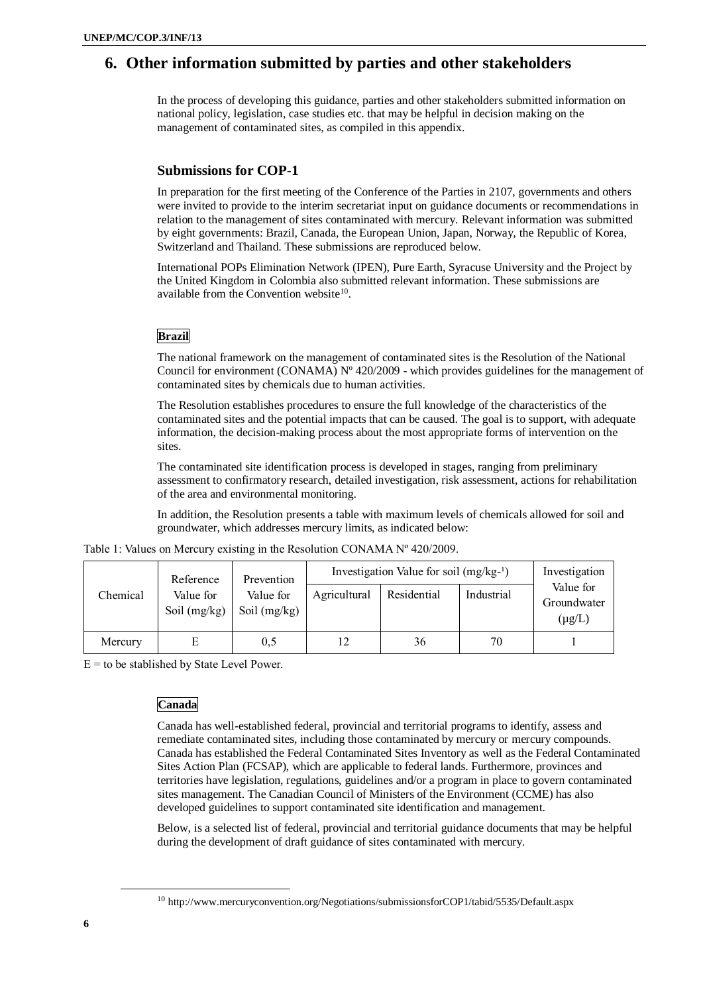# **6. Other information submitted by parties and other stakeholders**

In the process of developing this guidance, parties and other stakeholders submitted information on national policy, legislation, case studies etc. that may be helpful in decision making on the management of contaminated sites, as compiled in this appendix.

### **Submissions for COP-1**

In preparation for the first meeting of the Conference of the Parties in 2107, governments and others were invited to provide to the interim secretariat input on guidance documents or recommendations in relation to the management of sites contaminated with mercury. Relevant information was submitted by eight governments: Brazil, Canada, the European Union, Japan, Norway, the Republic of Korea, Switzerland and Thailand. These submissions are reproduced below.

International POPs Elimination Network (IPEN), Pure Earth, Syracuse University and the Project by the United Kingdom in Colombia also submitted relevant information. These submissions are available from the Convention website $10$ .

### **Brazil**

The national framework on the management of contaminated sites is the Resolution of the National Council for environment (CONAMA)  $N^{\circ}$  420/2009 - which provides guidelines for the management of contaminated sites by chemicals due to human activities.

The Resolution establishes procedures to ensure the full knowledge of the characteristics of the contaminated sites and the potential impacts that can be caused. The goal is to support, with adequate information, the decision-making process about the most appropriate forms of intervention on the sites.

The contaminated site identification process is developed in stages, ranging from preliminary assessment to confirmatory research, detailed investigation, risk assessment, actions for rehabilitation of the area and environmental monitoring.

In addition, the Resolution presents a table with maximum levels of chemicals allowed for soil and groundwater, which addresses mercury limits, as indicated below:

|  |  | Table 1: Values on Mercury existing in the Resolution CONAMA Nº 420/2009. |  |
|--|--|---------------------------------------------------------------------------|--|
|  |  |                                                                           |  |

|          | Prevention<br>Reference     |                             | Investigation Value for soil $(mg/kg-1)$ | Investigation |            |                                         |
|----------|-----------------------------|-----------------------------|------------------------------------------|---------------|------------|-----------------------------------------|
| Chemical | Value for<br>Soil $(mg/kg)$ | Value for<br>Soil $(mg/kg)$ | Agricultural                             | Residential   | Industrial | Value for<br>Groundwater<br>$(\mu g/L)$ |
| Mercury  | E                           | 0,5                         | 12                                       | 36            | 70         |                                         |

 $E =$  to be stablished by State Level Power.

### **Canada**

Canada has well-established federal, provincial and territorial programs to identify, assess and remediate contaminated sites, including those contaminated by mercury or mercury compounds. Canada has established the Federal Contaminated Sites Inventory as well as the Federal Contaminated Sites Action Plan (FCSAP), which are applicable to federal lands. Furthermore, provinces and territories have legislation, regulations, guidelines and/or a program in place to govern contaminated sites management. The Canadian Council of Ministers of the Environment (CCME) has also developed guidelines to support contaminated site identification and management.

Below, is a selected list of federal, provincial and territorial guidance documents that may be helpful during the development of draft guidance of sites contaminated with mercury.

<sup>10</sup> http://www.mercuryconvention.org/Negotiations/submissionsforCOP1/tabid/5535/Default.aspx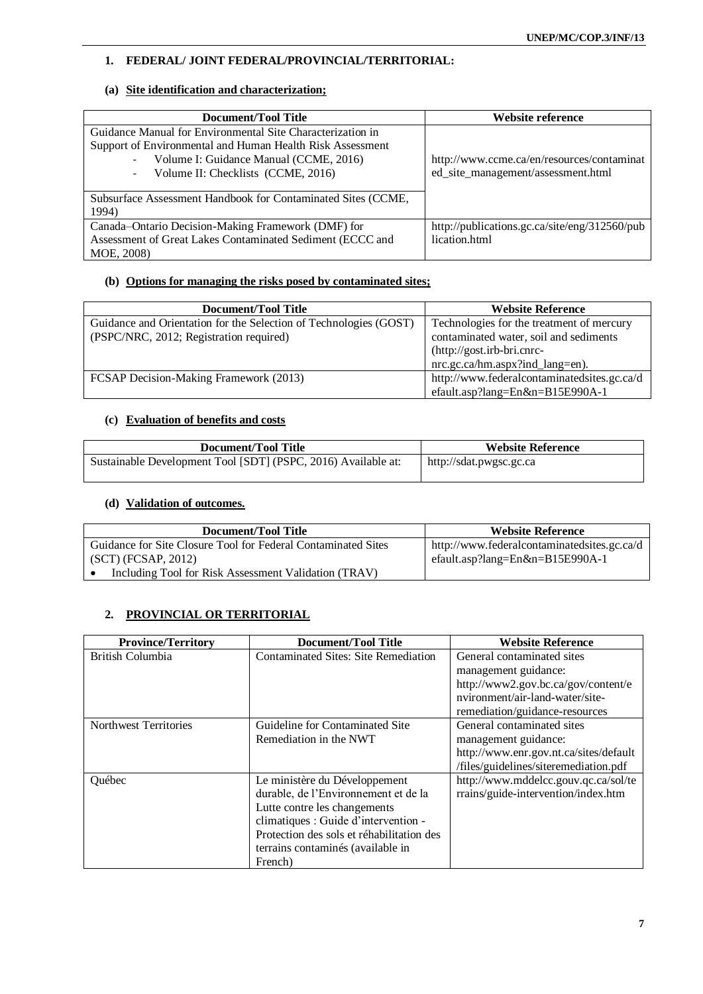### **1. FEDERAL/ JOINT FEDERAL/PROVINCIAL/TERRITORIAL:**

### **(a) Site identification and characterization;**

| Document/Tool Title                                          | Website reference                             |
|--------------------------------------------------------------|-----------------------------------------------|
| Guidance Manual for Environmental Site Characterization in   |                                               |
| Support of Environmental and Human Health Risk Assessment    |                                               |
| Volume I: Guidance Manual (CCME, 2016)                       | http://www.ccme.ca/en/resources/contaminat    |
| Volume II: Checklists (CCME, 2016)                           | ed_site_management/assessment.html            |
|                                                              |                                               |
| Subsurface Assessment Handbook for Contaminated Sites (CCME, |                                               |
| 1994)                                                        |                                               |
| Canada-Ontario Decision-Making Framework (DMF) for           | http://publications.gc.ca/site/eng/312560/pub |
| Assessment of Great Lakes Contaminated Sediment (ECCC and    | lication.html                                 |
| MOE, 2008)                                                   |                                               |

### **(b) Options for managing the risks posed by contaminated sites;**

| Document/Tool Title                                               | <b>Website Reference</b>                    |  |
|-------------------------------------------------------------------|---------------------------------------------|--|
| Guidance and Orientation for the Selection of Technologies (GOST) | Technologies for the treatment of mercury   |  |
| (PSPC/NRC, 2012; Registration required)                           | contaminated water, soil and sediments      |  |
|                                                                   | (http://gost.irb-bri.cnrc-                  |  |
|                                                                   | nrc.gc.ca/hm.aspx?ind_lang=en).             |  |
| FCSAP Decision-Making Framework (2013)                            | http://www.federalcontaminatedsites.gc.ca/d |  |
|                                                                   | efault.asp?lang=En&n=B15E990A-1             |  |

### **(c) Evaluation of benefits and costs**

| Document/Tool Title                                           | <b>Website Reference</b> |  |
|---------------------------------------------------------------|--------------------------|--|
| Sustainable Development Tool [SDT] (PSPC, 2016) Available at: | http://sdat.pwgsc.gc.ca  |  |

### **(d) Validation of outcomes.**

| Document/Tool Title                                           | <b>Website Reference</b>                    |
|---------------------------------------------------------------|---------------------------------------------|
| Guidance for Site Closure Tool for Federal Contaminated Sites | http://www.federalcontaminatedsites.gc.ca/d |
| (SCT) (FCSAP, 2012)                                           | efault.asp?lang=En&n=B15E990A-1             |
| Including Tool for Risk Assessment Validation (TRAV)          |                                             |

### **2. PROVINCIAL OR TERRITORIAL**

| <b>Province/Territory</b> | <b>Document/Tool Title</b>                                                                                                                                                                                                                 | <b>Website Reference</b>                                                                                                              |
|---------------------------|--------------------------------------------------------------------------------------------------------------------------------------------------------------------------------------------------------------------------------------------|---------------------------------------------------------------------------------------------------------------------------------------|
| British Columbia          | Contaminated Sites: Site Remediation                                                                                                                                                                                                       | General contaminated sites<br>management guidance:<br>http://www2.gov.bc.ca/gov/content/e<br>nvironment/air-land-water/site-          |
|                           |                                                                                                                                                                                                                                            | remediation/guidance-resources                                                                                                        |
| Northwest Territories     | Guideline for Contaminated Site<br>Remediation in the NWT                                                                                                                                                                                  | General contaminated sites<br>management guidance:<br>http://www.enr.gov.nt.ca/sites/default<br>/files/guidelines/siteremediation.pdf |
| Ouébec                    | Le ministère du Développement<br>durable, de l'Environnement et de la<br>Lutte contre les changements<br>climatiques : Guide d'intervention -<br>Protection des sols et réhabilitation des<br>terrains contaminés (available in<br>French) | http://www.mddelcc.gouv.qc.ca/sol/te<br>rrains/guide-intervention/index.htm                                                           |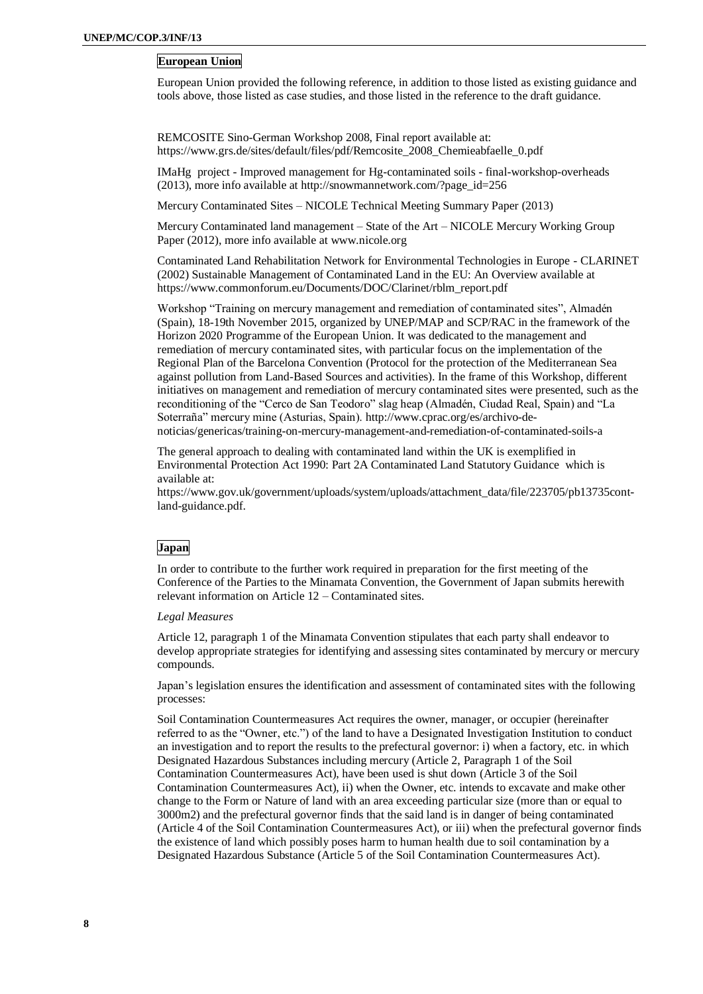### **European Union**

European Union provided the following reference, in addition to those listed as existing guidance and tools above, those listed as case studies, and those listed in the reference to the draft guidance.

REMCOSITE Sino-German Workshop 2008, Final report available at: [https://www.grs.de/sites/default/files/pdf/Remcosite\\_2008\\_Chemieabfaelle\\_0.pdf](https://www.grs.de/sites/default/files/pdf/Remcosite_2008_Chemieabfaelle_0.pdf)

IMaHg project - Improved management for Hg-contaminated soils - final-workshop-overheads (2013), more info available at [http://snowmannetwork.com/?page\\_id=256](http://snowmannetwork.com/?page_id=256)

Mercury Contaminated Sites – NICOLE Technical Meeting Summary Paper (2013)

Mercury Contaminated land management – State of the Art – NICOLE Mercury Working Group Paper (2012), more info available at [www.nicole.org](http://www.nicole.org/)

Contaminated Land Rehabilitation Network for Environmental Technologies in Europe - CLARINET (2002) Sustainable Management of Contaminated Land in the EU: An Overview available at [https://www.commonforum.eu/Documents/DOC/Clarinet/rblm\\_report.pdf](https://www.commonforum.eu/Documents/DOC/Clarinet/rblm_report.pdf)

Workshop "Training on mercury management and remediation of contaminated sites", Almadén (Spain), 18-19th November 2015, organized by UNEP/MAP and SCP/RAC in the framework of the Horizon 2020 Programme of the European Union. It was dedicated to the management and remediation of mercury contaminated sites, with particular focus on the implementation of the Regional Plan of the Barcelona Convention (Protocol for the protection of the Mediterranean Sea against pollution from Land-Based Sources and activities). In the frame of this Workshop, different initiatives on management and remediation of mercury contaminated sites were presented, such as the reconditioning of the "Cerco de San Teodoro" slag heap (Almadén, Ciudad Real, Spain) and "La Soterraña" mercury mine (Asturias, Spain). [http://www.cprac.org/es/archivo-de](http://www.cprac.org/es/archivo-de-noticias/genericas/training-on-mercury-management-and-remediation-of-contaminated-soils-a)[noticias/genericas/training-on-mercury-management-and-remediation-of-contaminated-soils-a](http://www.cprac.org/es/archivo-de-noticias/genericas/training-on-mercury-management-and-remediation-of-contaminated-soils-a)

The general approach to dealing with contaminated land within the UK is exemplified in Environmental Protection Act 1990: Part 2A Contaminated Land Statutory Guidance which is available at:

[https://www.gov.uk/government/uploads/system/uploads/attachment\\_data/file/223705/pb13735cont](https://www.gov.uk/government/uploads/system/uploads/attachment_data/file/223705/pb13735cont-land-guidance.pdf)[land-guidance.pdf.](https://www.gov.uk/government/uploads/system/uploads/attachment_data/file/223705/pb13735cont-land-guidance.pdf)

### **Japan**

In order to contribute to the further work required in preparation for the first meeting of the Conference of the Parties to the Minamata Convention, the Government of Japan submits herewith relevant information on Article 12 – Contaminated sites.

#### *Legal Measures*

Article 12, paragraph 1 of the Minamata Convention stipulates that each party shall endeavor to develop appropriate strategies for identifying and assessing sites contaminated by mercury or mercury compounds.

Japan's legislation ensures the identification and assessment of contaminated sites with the following processes:

Soil Contamination Countermeasures Act requires the owner, manager, or occupier (hereinafter referred to as the "Owner, etc.") of the land to have a Designated Investigation Institution to conduct an investigation and to report the results to the prefectural governor: i) when a factory, etc. in which Designated Hazardous Substances including mercury (Article 2, Paragraph 1 of the Soil Contamination Countermeasures Act), have been used is shut down (Article 3 of the Soil Contamination Countermeasures Act), ii) when the Owner, etc. intends to excavate and make other change to the Form or Nature of land with an area exceeding particular size (more than or equal to 3000m2) and the prefectural governor finds that the said land is in danger of being contaminated (Article 4 of the Soil Contamination Countermeasures Act), or iii) when the prefectural governor finds the existence of land which possibly poses harm to human health due to soil contamination by a Designated Hazardous Substance (Article 5 of the Soil Contamination Countermeasures Act).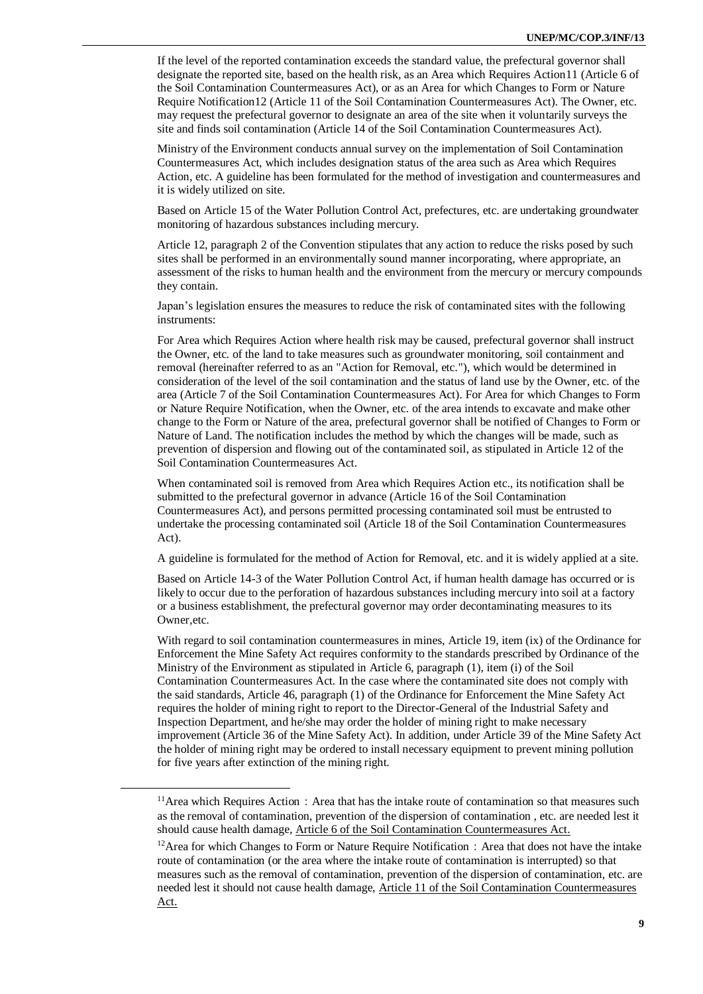If the level of the reported contamination exceeds the standard value, the prefectural governor shall designate the reported site, based on the health risk, as an Area which Requires Action11 (Article 6 of the Soil Contamination Countermeasures Act), or as an Area for which Changes to Form or Nature Require Notification12 (Article 11 of the Soil Contamination Countermeasures Act). The Owner, etc. may request the prefectural governor to designate an area of the site when it voluntarily surveys the site and finds soil contamination (Article 14 of the Soil Contamination Countermeasures Act).

Ministry of the Environment conducts annual survey on the implementation of Soil Contamination Countermeasures Act, which includes designation status of the area such as Area which Requires Action, etc. A guideline has been formulated for the method of investigation and countermeasures and it is widely utilized on site.

Based on Article 15 of the Water Pollution Control Act, prefectures, etc. are undertaking groundwater monitoring of hazardous substances including mercury.

Article 12, paragraph 2 of the Convention stipulates that any action to reduce the risks posed by such sites shall be performed in an environmentally sound manner incorporating, where appropriate, an assessment of the risks to human health and the environment from the mercury or mercury compounds they contain.

Japan's legislation ensures the measures to reduce the risk of contaminated sites with the following instruments:

For Area which Requires Action where health risk may be caused, prefectural governor shall instruct the Owner, etc. of the land to take measures such as groundwater monitoring, soil containment and removal (hereinafter referred to as an "Action for Removal, etc."), which would be determined in consideration of the level of the soil contamination and the status of land use by the Owner, etc. of the area (Article 7 of the Soil Contamination Countermeasures Act). For Area for which Changes to Form or Nature Require Notification, when the Owner, etc. of the area intends to excavate and make other change to the Form or Nature of the area, prefectural governor shall be notified of Changes to Form or Nature of Land. The notification includes the method by which the changes will be made, such as prevention of dispersion and flowing out of the contaminated soil, as stipulated in Article 12 of the Soil Contamination Countermeasures Act.

When contaminated soil is removed from Area which Requires Action etc., its notification shall be submitted to the prefectural governor in advance (Article 16 of the Soil Contamination Countermeasures Act), and persons permitted processing contaminated soil must be entrusted to undertake the processing contaminated soil (Article 18 of the Soil Contamination Countermeasures Act).

A guideline is formulated for the method of Action for Removal, etc. and it is widely applied at a site.

Based on Article 14-3 of the Water Pollution Control Act, if human health damage has occurred or is likely to occur due to the perforation of hazardous substances including mercury into soil at a factory or a business establishment, the prefectural governor may order decontaminating measures to its Owner,etc.

With regard to soil contamination countermeasures in mines, Article 19, item (ix) of the Ordinance for Enforcement the Mine Safety Act requires conformity to the standards prescribed by Ordinance of the Ministry of the Environment as stipulated in Article 6, paragraph (1), item (i) of the Soil Contamination Countermeasures Act. In the case where the contaminated site does not comply with the said standards, Article 46, paragraph (1) of the Ordinance for Enforcement the Mine Safety Act requires the holder of mining right to report to the Director-General of the Industrial Safety and Inspection Department, and he/she may order the holder of mining right to make necessary improvement (Article 36 of the Mine Safety Act). In addition, under Article 39 of the Mine Safety Act the holder of mining right may be ordered to install necessary equipment to prevent mining pollution for five years after extinction of the mining right.

 $11$ Area which Requires Action: Area that has the intake route of contamination so that measures such as the removal of contamination, prevention of the dispersion of contamination , etc. are needed lest it should cause health damage, Article 6 of the Soil Contamination Countermeasures Act.

 $12$ Area for which Changes to Form or Nature Require Notification: Area that does not have the intake route of contamination (or the area where the intake route of contamination is interrupted) so that measures such as the removal of contamination, prevention of the dispersion of contamination, etc. are needed lest it should not cause health damage, Article 11 of the Soil Contamination Countermeasures Act.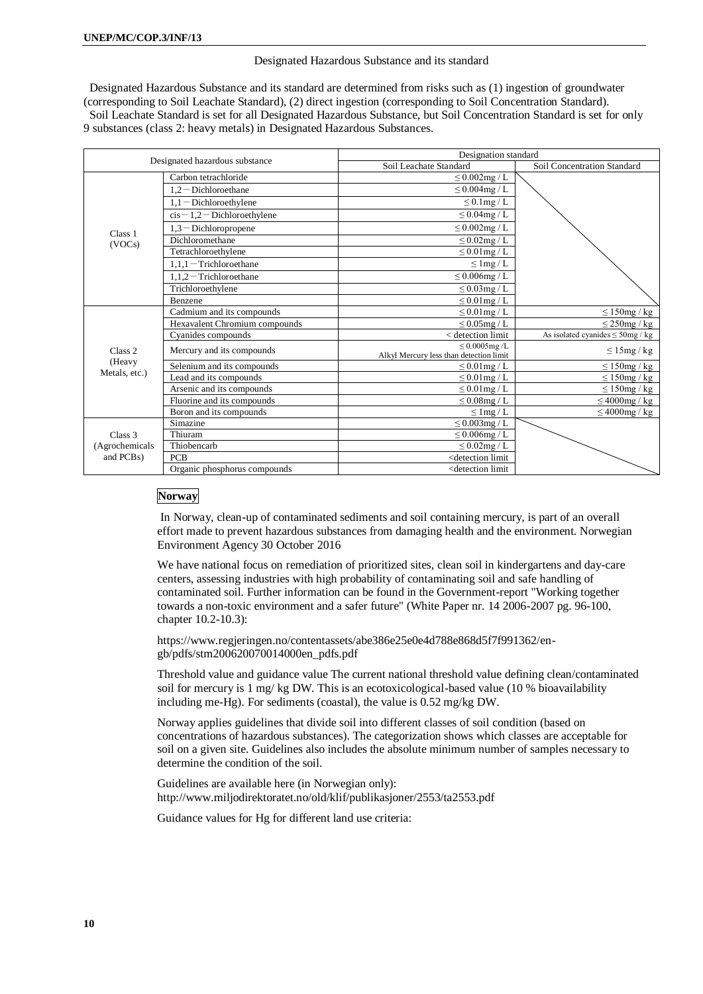#### Designated Hazardous Substance and its standard

Designated Hazardous Substance and its standard are determined from risks such as (1) ingestion of groundwater (corresponding to Soil Leachate Standard), (2) direct ingestion (corresponding to Soil Concentration Standard). Soil Leachate Standard is set for all Designated Hazardous Substance, but Soil Concentration Standard is set for only 9 substances (class 2: heavy metals) in Designated Hazardous Substances.

| Designated hazardous substance |                                | Designation standard                                          |                                       |  |
|--------------------------------|--------------------------------|---------------------------------------------------------------|---------------------------------------|--|
|                                |                                | Soil Leachate Standard                                        | Soil Concentration Standard           |  |
|                                | Carbon tetrachloride           | $\leq 0.002mg$ / L                                            |                                       |  |
|                                | $1,2$ - Dichloroethane         | $\leq 0.004\text{mg}/\text{L}$                                |                                       |  |
|                                | $1,1$ - Dichloroethylene       | $\leq$ 0.1mg / L                                              |                                       |  |
|                                | $cis - 1,2 - Dichloroethylene$ | $\leq 0.04$ mg / L                                            |                                       |  |
| Class 1                        | $1,3$ - Dichloropropene        | $\leq 0.002$ mg / L                                           |                                       |  |
| (VOCs)                         | Dichloromethane                | $\leq$ 0.02mg / L                                             |                                       |  |
|                                | Tetrachloroethylene            | $\leq 0.01$ mg / L                                            |                                       |  |
|                                | $1.1.1$ – Trichloroethane      | $\leq$ 1 mg / L                                               |                                       |  |
|                                | $1,1,2$ – Trichloroethane      | $\leq 0.006$ mg / L                                           |                                       |  |
|                                | Trichloroethylene              | $\leq$ 0.03mg / L                                             |                                       |  |
|                                | Benzene                        | $\leq 0.01$ mg / L                                            |                                       |  |
|                                | Cadmium and its compounds      | $\leq 0.01$ mg / L                                            | $\leq 150$ mg / kg                    |  |
| Class <sub>2</sub><br>(Heavy   | Hexavalent Chromium compounds  | $\leq$ 0.05 mg / L                                            | $\leq$ 250mg / kg                     |  |
|                                | Cyanides compounds             | < detection limit                                             | As isolated cyanides $\leq$ 50mg / kg |  |
|                                | Mercury and its compounds      | $\leq 0.0005$ mg/L<br>Alkyl Mercury less than detection limit | $\leq 15$ mg/kg                       |  |
|                                | Selenium and its compounds     | $\leq 0.01$ mg / L                                            | $\leq 150$ mg/kg                      |  |
| Metals, etc.)                  | Lead and its compounds         | $\leq 0.01$ mg / L                                            | $\leq 150$ mg/kg                      |  |
|                                | Arsenic and its compounds      | $\leq 0.01$ mg / L                                            | $\leq 150$ mg / kg                    |  |
|                                | Fluorine and its compounds     | $\leq$ 0.08mg / L                                             | $\leq 4000$ mg / kg                   |  |
|                                | Boron and its compounds        | $\leq$ 1 mg / L                                               | $\leq 4000$ mg / kg                   |  |
|                                | Simazine                       | $\leq$ 0.003mg / L                                            |                                       |  |
| Class 3                        | Thiuram                        | $\leq 0.006$ mg / L                                           |                                       |  |
| (Agrochemicals                 | Thiobencarb                    | $\leq$ 0.02mg / L                                             |                                       |  |
| and PCB <sub>s</sub> )         | <b>PCB</b>                     | <detection limit<="" td=""><td></td></detection>              |                                       |  |
|                                | Organic phosphorus compounds   | <detection limit<="" td=""><td></td></detection>              |                                       |  |

### **Norway**

In Norway, clean-up of contaminated sediments and soil containing mercury, is part of an overall effort made to prevent hazardous substances from damaging health and the environment. Norwegian Environment Agency 30 October 2016

We have national focus on remediation of prioritized sites, clean soil in kindergartens and day-care centers, assessing industries with high probability of contaminating soil and safe handling of contaminated soil. Further information can be found in the Government-report "Working together towards a non-toxic environment and a safer future" (White Paper nr. 14 2006-2007 pg. 96-100, chapter 10.2-10.3):

https://www.regjeringen.no/contentassets/abe386e25e0e4d788e868d5f7f991362/engb/pdfs/stm200620070014000en\_pdfs.pdf

Threshold value and guidance value The current national threshold value defining clean/contaminated soil for mercury is 1 mg/ kg DW. This is an ecotoxicological-based value (10 % bioavailability including me-Hg). For sediments (coastal), the value is 0.52 mg/kg DW.

Norway applies guidelines that divide soil into different classes of soil condition (based on concentrations of hazardous substances). The categorization shows which classes are acceptable for soil on a given site. Guidelines also includes the absolute minimum number of samples necessary to determine the condition of the soil.

Guidelines are available here (in Norwegian only): http://www.miljodirektoratet.no/old/klif/publikasjoner/2553/ta2553.pdf

Guidance values for Hg for different land use criteria: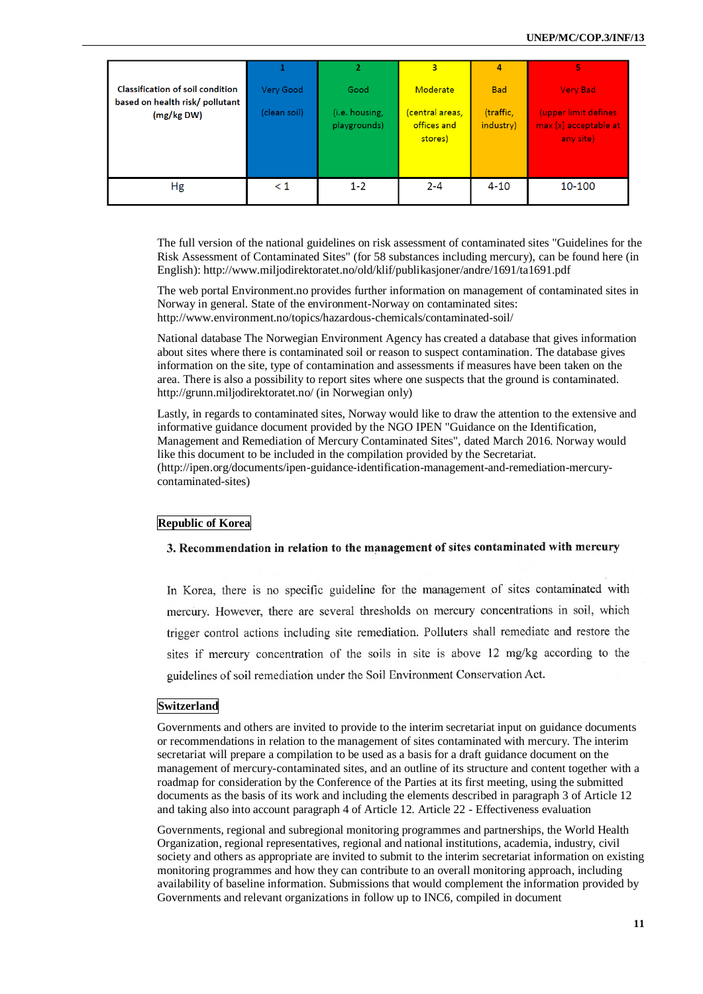| Classification of soil condition<br>based on health risk/ pollutant<br>(mg/kg DW) | Very Good<br>(clean soil) | $\overline{2}$<br>Good<br>(i.e. housing,<br>playgrounds) | 3<br>Moderate<br><mark>(central areas,</mark><br>offices and<br>stores) | $\overline{\mathbf{A}}$<br><b>Bad</b><br>(traffic,<br>industry) | 5<br><b>Very Bad</b><br>(upper limit defines<br>max [x] acceptable at<br>any site) |
|-----------------------------------------------------------------------------------|---------------------------|----------------------------------------------------------|-------------------------------------------------------------------------|-----------------------------------------------------------------|------------------------------------------------------------------------------------|
| Hg                                                                                | $\leq 1$                  | $1 - 2$                                                  | $2 - 4$                                                                 | $4 - 10$                                                        | 10-100                                                                             |
|                                                                                   |                           |                                                          |                                                                         |                                                                 |                                                                                    |

The full version of the national guidelines on risk assessment of contaminated sites "Guidelines for the Risk Assessment of Contaminated Sites" (for 58 substances including mercury), can be found here (in English): http://www.miljodirektoratet.no/old/klif/publikasjoner/andre/1691/ta1691.pdf

The web portal Environment.no provides further information on management of contaminated sites in Norway in general. State of the environment-Norway on contaminated sites: http://www.environment.no/topics/hazardous-chemicals/contaminated-soil/

National database The Norwegian Environment Agency has created a database that gives information about sites where there is contaminated soil or reason to suspect contamination. The database gives information on the site, type of contamination and assessments if measures have been taken on the area. There is also a possibility to report sites where one suspects that the ground is contaminated. http://grunn.miljodirektoratet.no/ (in Norwegian only)

Lastly, in regards to contaminated sites, Norway would like to draw the attention to the extensive and informative guidance document provided by the NGO IPEN "Guidance on the Identification, Management and Remediation of Mercury Contaminated Sites", dated March 2016. Norway would like this document to be included in the compilation provided by the Secretariat. [\(http://ipen.org/documents/ipen-guidance-identification-management-and-remediation-mercury](http://ipen.org/documents/ipen-guidance-identification-management-and-remediation-mercury-contaminated-sites)[contaminated-sites\)](http://ipen.org/documents/ipen-guidance-identification-management-and-remediation-mercury-contaminated-sites)

### **Republic of Korea**

### 3. Recommendation in relation to the management of sites contaminated with mercury

In Korea, there is no specific guideline for the management of sites contaminated with mercury. However, there are several thresholds on mercury concentrations in soil, which trigger control actions including site remediation. Polluters shall remediate and restore the sites if mercury concentration of the soils in site is above 12 mg/kg according to the guidelines of soil remediation under the Soil Environment Conservation Act.

### **Switzerland**

Governments and others are invited to provide to the interim secretariat input on guidance documents or recommendations in relation to the management of sites contaminated with mercury. The interim secretariat will prepare a compilation to be used as a basis for a draft guidance document on the management of mercury-contaminated sites, and an outline of its structure and content together with a roadmap for consideration by the Conference of the Parties at its first meeting, using the submitted documents as the basis of its work and including the elements described in paragraph 3 of Article 12 and taking also into account paragraph 4 of Article 12. Article 22 - Effectiveness evaluation

Governments, regional and subregional monitoring programmes and partnerships, the World Health Organization, regional representatives, regional and national institutions, academia, industry, civil society and others as appropriate are invited to submit to the interim secretariat information on existing monitoring programmes and how they can contribute to an overall monitoring approach, including availability of baseline information. Submissions that would complement the information provided by Governments and relevant organizations in follow up to INC6, compiled in document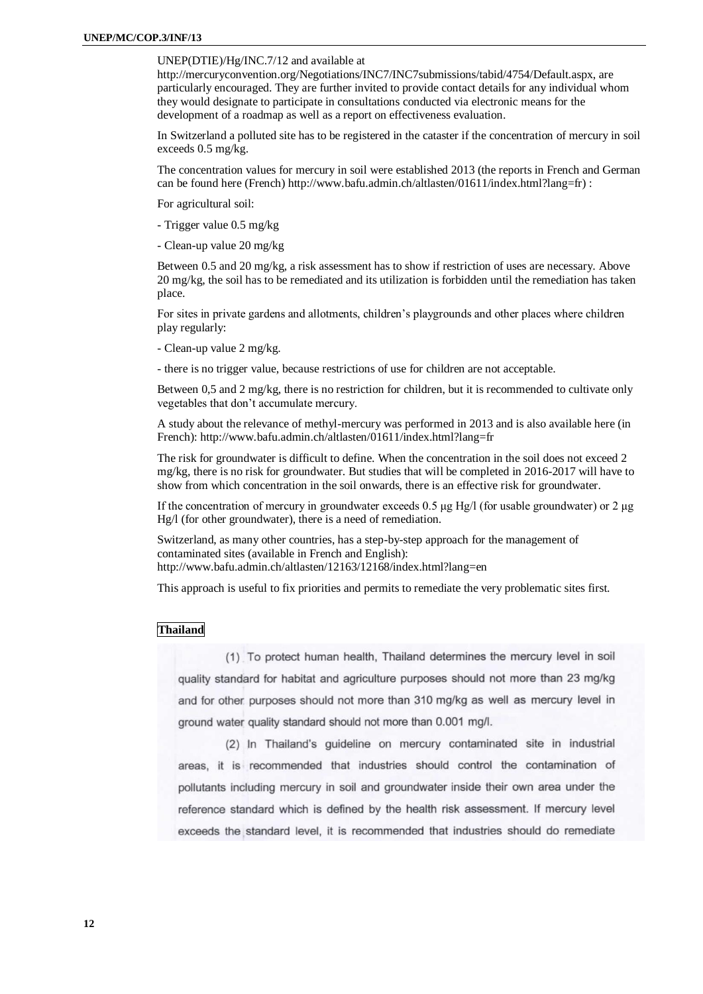### UNEP(DTIE)/Hg/INC.7/12 and available at

http://mercuryconvention.org/Negotiations/INC7/INC7submissions/tabid/4754/Default.aspx, are particularly encouraged. They are further invited to provide contact details for any individual whom they would designate to participate in consultations conducted via electronic means for the development of a roadmap as well as a report on effectiveness evaluation.

In Switzerland a polluted site has to be registered in the cataster if the concentration of mercury in soil exceeds 0.5 mg/kg.

The concentration values for mercury in soil were established 2013 (the reports in French and German can be found here (French) http://www.bafu.admin.ch/altlasten/01611/index.html?lang=fr) :

For agricultural soil:

- Trigger value 0.5 mg/kg
- Clean-up value 20 mg/kg

Between 0.5 and 20 mg/kg, a risk assessment has to show if restriction of uses are necessary. Above 20 mg/kg, the soil has to be remediated and its utilization is forbidden until the remediation has taken place.

For sites in private gardens and allotments, children's playgrounds and other places where children play regularly:

- Clean-up value 2 mg/kg.

- there is no trigger value, because restrictions of use for children are not acceptable.

Between 0,5 and 2 mg/kg, there is no restriction for children, but it is recommended to cultivate only vegetables that don't accumulate mercury.

A study about the relevance of methyl-mercury was performed in 2013 and is also available here (in French): http://www.bafu.admin.ch/altlasten/01611/index.html?lang=fr

The risk for groundwater is difficult to define. When the concentration in the soil does not exceed 2 mg/kg, there is no risk for groundwater. But studies that will be completed in 2016-2017 will have to show from which concentration in the soil onwards, there is an effective risk for groundwater.

If the concentration of mercury in groundwater exceeds 0.5 μg Hg/l (for usable groundwater) or 2 μg Hg/l (for other groundwater), there is a need of remediation.

Switzerland, as many other countries, has a step-by-step approach for the management of contaminated sites (available in French and English): http://www.bafu.admin.ch/altlasten/12163/12168/index.html?lang=en

This approach is useful to fix priorities and permits to remediate the very problematic sites first.

### **Thailand**

(1) To protect human health, Thailand determines the mercury level in soil quality standard for habitat and agriculture purposes should not more than 23 mg/kg and for other purposes should not more than 310 mg/kg as well as mercury level in ground water quality standard should not more than 0.001 mg/l.

(2) In Thailand's guideline on mercury contaminated site in industrial areas, it is recommended that industries should control the contamination of pollutants including mercury in soil and groundwater inside their own area under the reference standard which is defined by the health risk assessment. If mercury level exceeds the standard level, it is recommended that industries should do remediate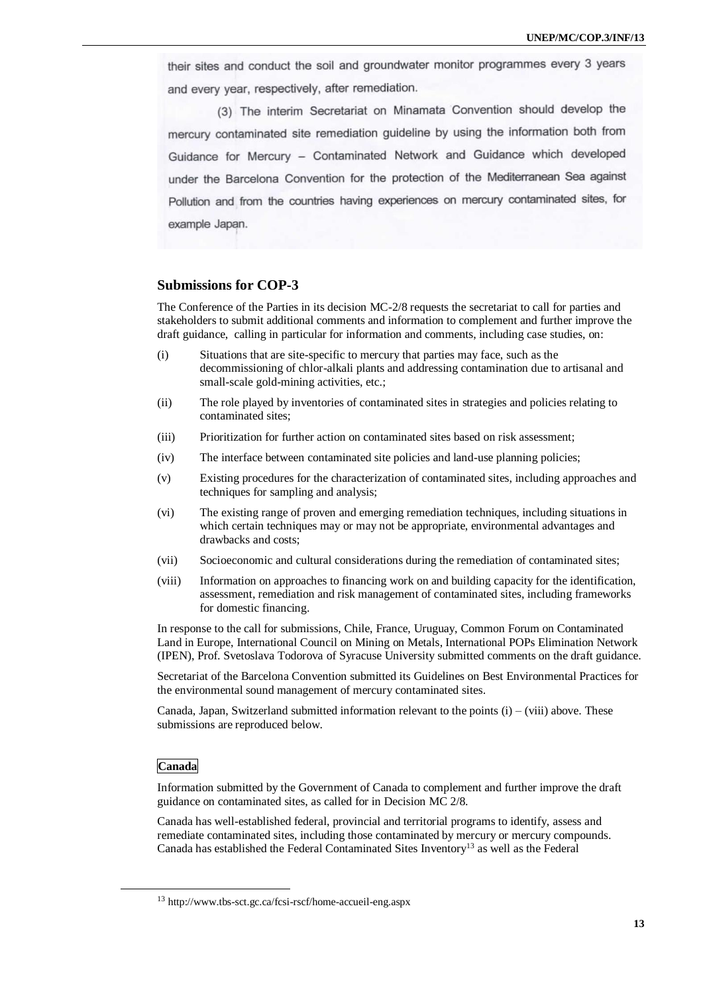their sites and conduct the soil and groundwater monitor programmes every 3 years and every year, respectively, after remediation.

(3) The interim Secretariat on Minamata Convention should develop the mercury contaminated site remediation guideline by using the information both from Guidance for Mercury - Contaminated Network and Guidance which developed under the Barcelona Convention for the protection of the Mediterranean Sea against Pollution and from the countries having experiences on mercury contaminated sites, for example Japan.

### **Submissions for COP-3**

The Conference of the Parties in its decision MC-2/8 requests the secretariat to call for parties and stakeholders to submit additional comments and information to complement and further improve the draft guidance, calling in particular for information and comments, including case studies, on:

- (i) Situations that are site-specific to mercury that parties may face, such as the decommissioning of chlor-alkali plants and addressing contamination due to artisanal and small-scale gold-mining activities, etc.;
- (ii) The role played by inventories of contaminated sites in strategies and policies relating to contaminated sites;
- (iii) Prioritization for further action on contaminated sites based on risk assessment;
- (iv) The interface between contaminated site policies and land-use planning policies;
- (v) Existing procedures for the characterization of contaminated sites, including approaches and techniques for sampling and analysis;
- (vi) The existing range of proven and emerging remediation techniques, including situations in which certain techniques may or may not be appropriate, environmental advantages and drawbacks and costs;
- (vii) Socioeconomic and cultural considerations during the remediation of contaminated sites;
- (viii) Information on approaches to financing work on and building capacity for the identification, assessment, remediation and risk management of contaminated sites, including frameworks for domestic financing.

In response to the call for submissions, Chile, France, Uruguay, Common Forum on Contaminated Land in Europe, International Council on Mining on Metals, International POPs Elimination Network (IPEN), Prof. Svetoslava Todorova of Syracuse University submitted comments on the draft guidance.

Secretariat of the Barcelona Convention submitted its Guidelines on Best Environmental Practices for the environmental sound management of mercury contaminated sites.

Canada, Japan, Switzerland submitted information relevant to the points  $(i) - (viii)$  above. These submissions are reproduced below.

#### **Canada**

-

Information submitted by the Government of Canada to complement and further improve the draft guidance on contaminated sites, as called for in Decision MC 2/8.

Canada has well-established federal, provincial and territorial programs to identify, assess and remediate contaminated sites, including those contaminated by mercury or mercury compounds. Canada has established the Federal Contaminated Sites Inventory<sup>13</sup> as well as the Federal

<sup>13</sup> http://www.tbs-sct.gc.ca/fcsi-rscf/home-accueil-eng.aspx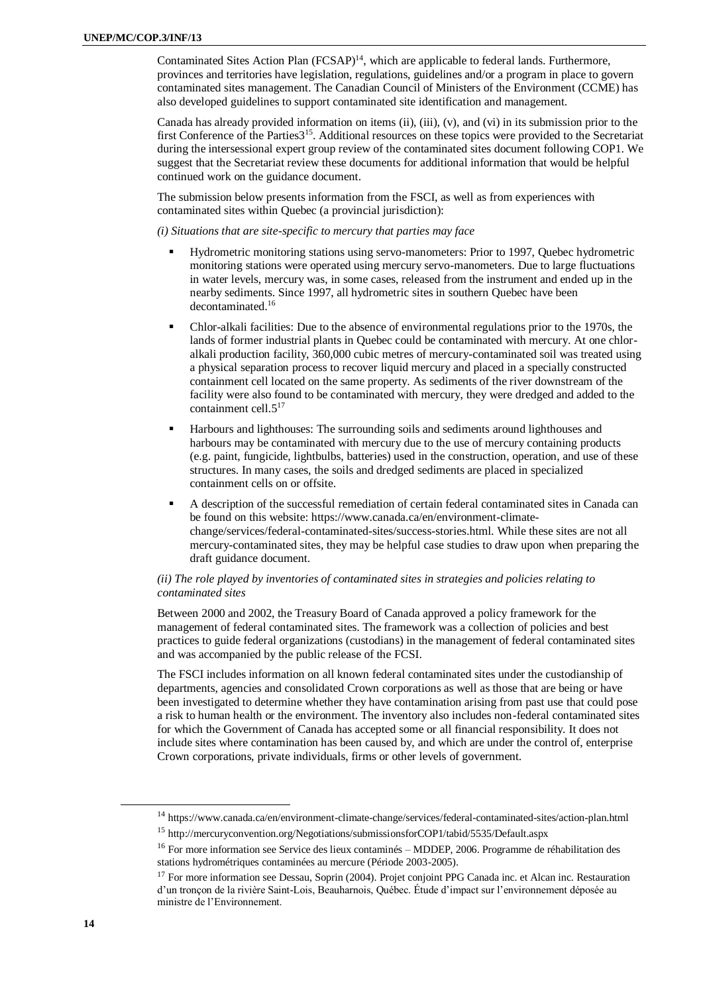Contaminated Sites Action Plan (FCSAP)<sup>14</sup>, which are applicable to federal lands. Furthermore, provinces and territories have legislation, regulations, guidelines and/or a program in place to govern contaminated sites management. The Canadian Council of Ministers of the Environment (CCME) has also developed guidelines to support contaminated site identification and management.

Canada has already provided information on items (ii), (iii), (v), and (vi) in its submission prior to the first Conference of the Parties3<sup>15</sup>. Additional resources on these topics were provided to the Secretariat during the intersessional expert group review of the contaminated sites document following COP1. We suggest that the Secretariat review these documents for additional information that would be helpful continued work on the guidance document.

The submission below presents information from the FSCI, as well as from experiences with contaminated sites within Quebec (a provincial jurisdiction):

#### *(i) Situations that are site-specific to mercury that parties may face*

- Hydrometric monitoring stations using servo-manometers: Prior to 1997, Quebec hydrometric monitoring stations were operated using mercury servo-manometers. Due to large fluctuations in water levels, mercury was, in some cases, released from the instrument and ended up in the nearby sediments. Since 1997, all hydrometric sites in southern Quebec have been decontaminated.<sup>16</sup>
- Chlor-alkali facilities: Due to the absence of environmental regulations prior to the 1970s, the lands of former industrial plants in Quebec could be contaminated with mercury. At one chloralkali production facility, 360,000 cubic metres of mercury-contaminated soil was treated using a physical separation process to recover liquid mercury and placed in a specially constructed containment cell located on the same property. As sediments of the river downstream of the facility were also found to be contaminated with mercury, they were dredged and added to the containment cell.5<sup>17</sup>
- Harbours and lighthouses: The surrounding soils and sediments around lighthouses and harbours may be contaminated with mercury due to the use of mercury containing products (e.g. paint, fungicide, lightbulbs, batteries) used in the construction, operation, and use of these structures. In many cases, the soils and dredged sediments are placed in specialized containment cells on or offsite.
- A description of the successful remediation of certain federal contaminated sites in Canada can be found on this website: https://www.canada.ca/en/environment-climatechange/services/federal-contaminated-sites/success-stories.html. While these sites are not all mercury-contaminated sites, they may be helpful case studies to draw upon when preparing the draft guidance document.

### *(ii) The role played by inventories of contaminated sites in strategies and policies relating to contaminated sites*

Between 2000 and 2002, the Treasury Board of Canada approved a policy framework for the management of federal contaminated sites. The framework was a collection of policies and best practices to guide federal organizations (custodians) in the management of federal contaminated sites and was accompanied by the public release of the FCSI.

The FSCI includes information on all known federal contaminated sites under the custodianship of departments, agencies and consolidated Crown corporations as well as those that are being or have been investigated to determine whether they have contamination arising from past use that could pose a risk to human health or the environment. The inventory also includes non-federal contaminated sites for which the Government of Canada has accepted some or all financial responsibility. It does not include sites where contamination has been caused by, and which are under the control of, enterprise Crown corporations, private individuals, firms or other levels of government.

<sup>14</sup> https://www.canada.ca/en/environment-climate-change/services/federal-contaminated-sites/action-plan.html

<sup>15</sup> http://mercuryconvention.org/Negotiations/submissionsforCOP1/tabid/5535/Default.aspx

<sup>&</sup>lt;sup>16</sup> For more information see Service des lieux contaminés – MDDEP, 2006. Programme de réhabilitation des stations hydrométriques contaminées au mercure (Période 2003-2005).

<sup>&</sup>lt;sup>17</sup> For more information see Dessau, Soprin (2004). Projet conjoint PPG Canada inc. et Alcan inc. Restauration d'un tronçon de la rivière Saint-Lois, Beauharnois, Québec. Étude d'impact sur l'environnement déposée au ministre de l'Environnement.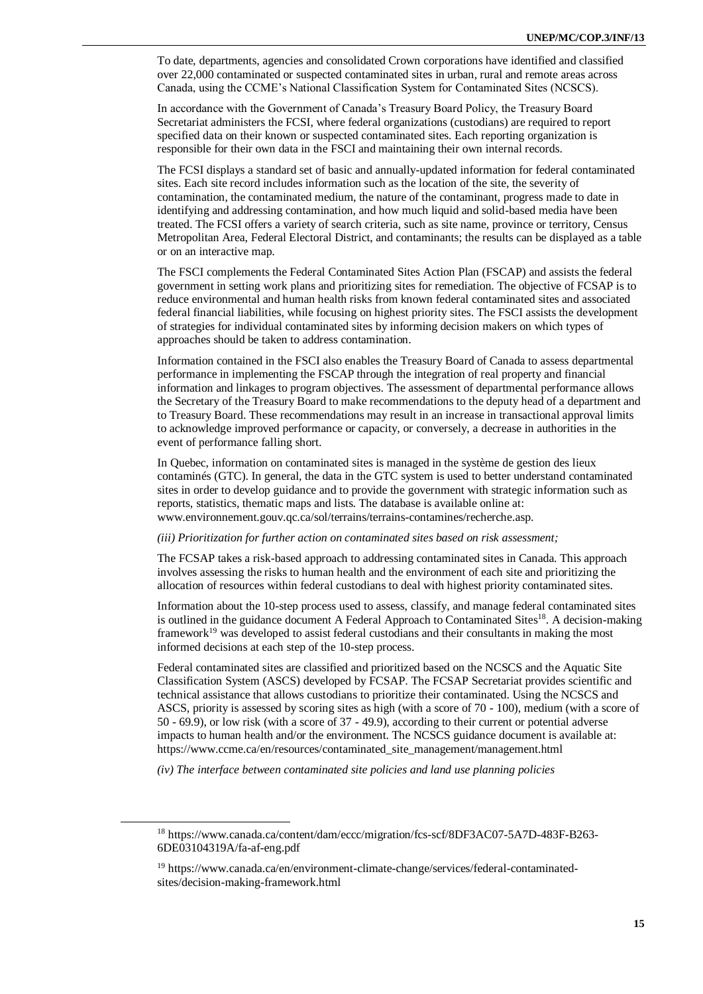To date, departments, agencies and consolidated Crown corporations have identified and classified over 22,000 contaminated or suspected contaminated sites in urban, rural and remote areas across Canada, using the CCME's National Classification System for Contaminated Sites (NCSCS).

In accordance with the Government of Canada's Treasury Board Policy, the Treasury Board Secretariat administers the FCSI, where federal organizations (custodians) are required to report specified data on their known or suspected contaminated sites. Each reporting organization is responsible for their own data in the FSCI and maintaining their own internal records.

The FCSI displays a standard set of basic and annually-updated information for federal contaminated sites. Each site record includes information such as the location of the site, the severity of contamination, the contaminated medium, the nature of the contaminant, progress made to date in identifying and addressing contamination, and how much liquid and solid-based media have been treated. The FCSI offers a variety of search criteria, such as site name, province or territory, Census Metropolitan Area, Federal Electoral District, and contaminants; the results can be displayed as a table or on an interactive map.

The FSCI complements the Federal Contaminated Sites Action Plan (FSCAP) and assists the federal government in setting work plans and prioritizing sites for remediation. The objective of FCSAP is to reduce environmental and human health risks from known federal contaminated sites and associated federal financial liabilities, while focusing on highest priority sites. The FSCI assists the development of strategies for individual contaminated sites by informing decision makers on which types of approaches should be taken to address contamination.

Information contained in the FSCI also enables the Treasury Board of Canada to assess departmental performance in implementing the FSCAP through the integration of real property and financial information and linkages to program objectives. The assessment of departmental performance allows the Secretary of the Treasury Board to make recommendations to the deputy head of a department and to Treasury Board. These recommendations may result in an increase in transactional approval limits to acknowledge improved performance or capacity, or conversely, a decrease in authorities in the event of performance falling short.

In Quebec, information on contaminated sites is managed in the système de gestion des lieux contaminés (GTC). In general, the data in the GTC system is used to better understand contaminated sites in order to develop guidance and to provide the government with strategic information such as reports, statistics, thematic maps and lists. The database is available online at: www.environnement.gouv.qc.ca/sol/terrains/terrains-contamines/recherche.asp.

*(iii) Prioritization for further action on contaminated sites based on risk assessment;*

The FCSAP takes a risk-based approach to addressing contaminated sites in Canada. This approach involves assessing the risks to human health and the environment of each site and prioritizing the allocation of resources within federal custodians to deal with highest priority contaminated sites.

Information about the 10-step process used to assess, classify, and manage federal contaminated sites is outlined in the guidance document A Federal Approach to Contaminated Sites<sup>18</sup>. A decision-making framework<sup>19</sup> was developed to assist federal custodians and their consultants in making the most informed decisions at each step of the 10-step process.

Federal contaminated sites are classified and prioritized based on the NCSCS and the Aquatic Site Classification System (ASCS) developed by FCSAP. The FCSAP Secretariat provides scientific and technical assistance that allows custodians to prioritize their contaminated. Using the NCSCS and ASCS, priority is assessed by scoring sites as high (with a score of 70 - 100), medium (with a score of 50 - 69.9), or low risk (with a score of 37 - 49.9), according to their current or potential adverse impacts to human health and/or the environment. The NCSCS guidance document is available at: https://www.ccme.ca/en/resources/contaminated\_site\_management/management.html

*(iv) The interface between contaminated site policies and land use planning policies*

1

<sup>18</sup> https://www.canada.ca/content/dam/eccc/migration/fcs-scf/8DF3AC07-5A7D-483F-B263- 6DE03104319A/fa-af-eng.pdf

<sup>&</sup>lt;sup>19</sup> https://www.canada.ca/en/environment-climate-change/services/federal-contaminatedsites/decision-making-framework.html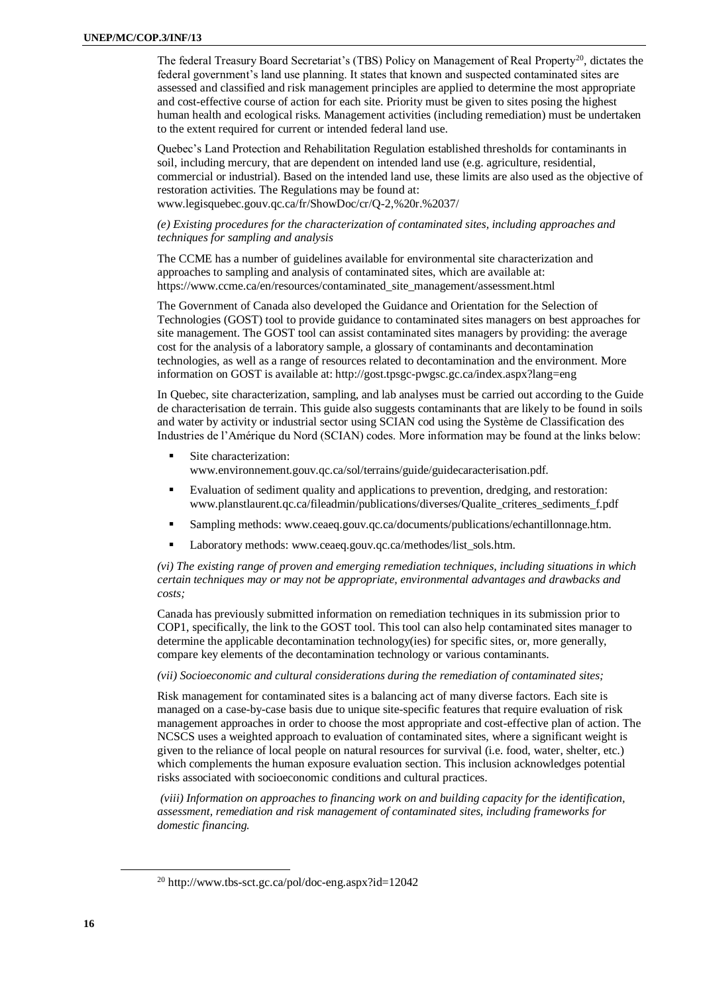The federal Treasury Board Secretariat's (TBS) Policy on Management of Real Property<sup>20</sup>, dictates the federal government's land use planning. It states that known and suspected contaminated sites are assessed and classified and risk management principles are applied to determine the most appropriate and cost-effective course of action for each site. Priority must be given to sites posing the highest human health and ecological risks. Management activities (including remediation) must be undertaken to the extent required for current or intended federal land use.

Quebec's Land Protection and Rehabilitation Regulation established thresholds for contaminants in soil, including mercury, that are dependent on intended land use (e.g. agriculture, residential, commercial or industrial). Based on the intended land use, these limits are also used as the objective of restoration activities. The Regulations may be found at: www.legisquebec.gouv.qc.ca/fr/ShowDoc/cr/Q-2,%20r.%2037/

### *(e) Existing procedures for the characterization of contaminated sites, including approaches and techniques for sampling and analysis*

The CCME has a number of guidelines available for environmental site characterization and approaches to sampling and analysis of contaminated sites, which are available at: https://www.ccme.ca/en/resources/contaminated\_site\_management/assessment.html

The Government of Canada also developed the Guidance and Orientation for the Selection of Technologies (GOST) tool to provide guidance to contaminated sites managers on best approaches for site management. The GOST tool can assist contaminated sites managers by providing: the average cost for the analysis of a laboratory sample, a glossary of contaminants and decontamination technologies, as well as a range of resources related to decontamination and the environment. More information on GOST is available at: http://gost.tpsgc-pwgsc.gc.ca/index.aspx?lang=eng

In Quebec, site characterization, sampling, and lab analyses must be carried out according to the Guide de characterisation de terrain. This guide also suggests contaminants that are likely to be found in soils and water by activity or industrial sector using SCIAN cod using the Système de Classification des Industries de l'Amérique du Nord (SCIAN) codes. More information may be found at the links below:

- Site characterization: www.environnement.gouv.qc.ca/sol/terrains/guide/guidecaracterisation.pdf.
- Evaluation of sediment quality and applications to prevention, dredging, and restoration: www.planstlaurent.qc.ca/fileadmin/publications/diverses/Qualite\_criteres\_sediments\_f.pdf
- Sampling methods: www.ceaeq.gouv.qc.ca/documents/publications/echantillonnage.htm.
- Laboratory methods: www.ceaeq.gouv.qc.ca/methodes/list\_sols.htm.

*(vi) The existing range of proven and emerging remediation techniques, including situations in which certain techniques may or may not be appropriate, environmental advantages and drawbacks and costs;*

Canada has previously submitted information on remediation techniques in its submission prior to COP1, specifically, the link to the GOST tool. This tool can also help contaminated sites manager to determine the applicable decontamination technology(ies) for specific sites, or, more generally, compare key elements of the decontamination technology or various contaminants.

### *(vii) Socioeconomic and cultural considerations during the remediation of contaminated sites;*

Risk management for contaminated sites is a balancing act of many diverse factors. Each site is managed on a case-by-case basis due to unique site-specific features that require evaluation of risk management approaches in order to choose the most appropriate and cost-effective plan of action. The NCSCS uses a weighted approach to evaluation of contaminated sites, where a significant weight is given to the reliance of local people on natural resources for survival (i.e. food, water, shelter, etc.) which complements the human exposure evaluation section. This inclusion acknowledges potential risks associated with socioeconomic conditions and cultural practices.

*(viii) Information on approaches to financing work on and building capacity for the identification, assessment, remediation and risk management of contaminated sites, including frameworks for domestic financing.*

<sup>20</sup> http://www.tbs-sct.gc.ca/pol/doc-eng.aspx?id=12042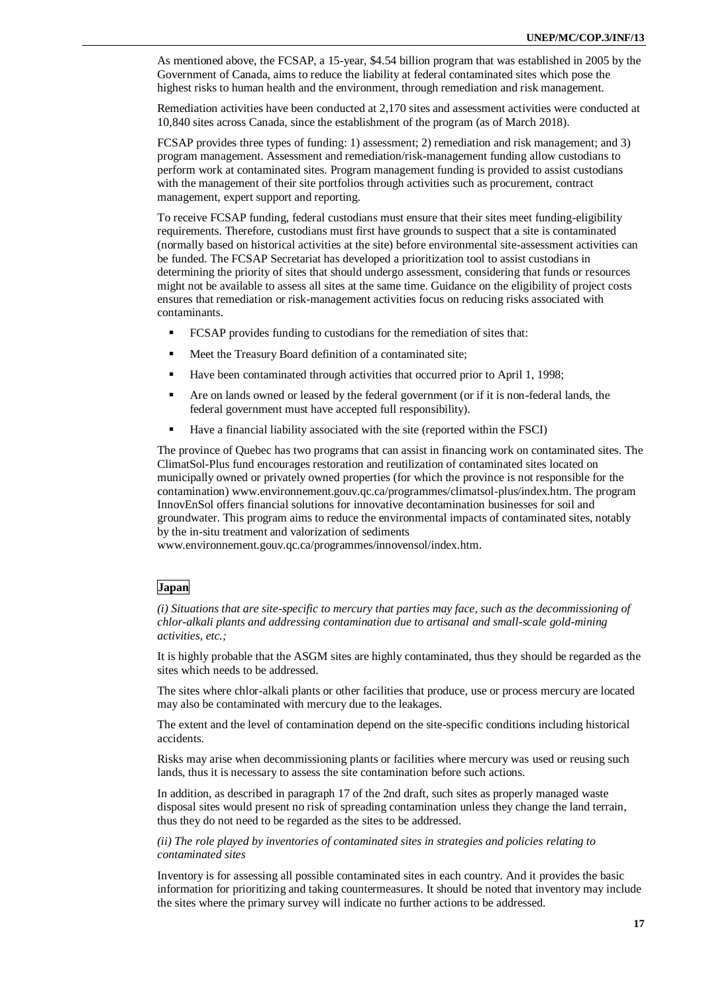As mentioned above, the FCSAP, a 15-year, \$4.54 billion program that was established in 2005 by the Government of Canada, aims to reduce the liability at federal contaminated sites which pose the highest risks to human health and the environment, through remediation and risk management.

Remediation activities have been conducted at 2,170 sites and assessment activities were conducted at 10,840 sites across Canada, since the establishment of the program (as of March 2018).

FCSAP provides three types of funding: 1) assessment; 2) remediation and risk management; and 3) program management. Assessment and remediation/risk-management funding allow custodians to perform work at contaminated sites. Program management funding is provided to assist custodians with the management of their site portfolios through activities such as procurement, contract management, expert support and reporting.

To receive FCSAP funding, federal custodians must ensure that their sites meet funding-eligibility requirements. Therefore, custodians must first have grounds to suspect that a site is contaminated (normally based on historical activities at the site) before environmental site-assessment activities can be funded. The FCSAP Secretariat has developed a prioritization tool to assist custodians in determining the priority of sites that should undergo assessment, considering that funds or resources might not be available to assess all sites at the same time. Guidance on the eligibility of project costs ensures that remediation or risk-management activities focus on reducing risks associated with contaminants.

- FCSAP provides funding to custodians for the remediation of sites that:
- Meet the Treasury Board definition of a contaminated site;
- Have been contaminated through activities that occurred prior to April 1, 1998;
- Are on lands owned or leased by the federal government (or if it is non-federal lands, the federal government must have accepted full responsibility).
- Have a financial liability associated with the site (reported within the FSCI)

The province of Quebec has two programs that can assist in financing work on contaminated sites. The ClimatSol-Plus fund encourages restoration and reutilization of contaminated sites located on municipally owned or privately owned properties (for which the province is not responsible for the contamination) www.environnement.gouv.qc.ca/programmes/climatsol-plus/index.htm. The program InnovEnSol offers financial solutions for innovative decontamination businesses for soil and groundwater. This program aims to reduce the environmental impacts of contaminated sites, notably by the in-situ treatment and valorization of sediments

[www.environnement.gouv.qc.ca/programmes/innovensol/index.htm.](http://www.environnement.gouv.qc.ca/programmes/innovensol/index.htm)

### **Japan**

*(i) Situations that are site-specific to mercury that parties may face, such as the decommissioning of chlor-alkali plants and addressing contamination due to artisanal and small-scale gold-mining activities, etc.;*

It is highly probable that the ASGM sites are highly contaminated, thus they should be regarded as the sites which needs to be addressed.

The sites where chlor-alkali plants or other facilities that produce, use or process mercury are located may also be contaminated with mercury due to the leakages.

The extent and the level of contamination depend on the site-specific conditions including historical accidents.

Risks may arise when decommissioning plants or facilities where mercury was used or reusing such lands, thus it is necessary to assess the site contamination before such actions.

In addition, as described in paragraph 17 of the 2nd draft, such sites as properly managed waste disposal sites would present no risk of spreading contamination unless they change the land terrain, thus they do not need to be regarded as the sites to be addressed.

*(ii) The role played by inventories of contaminated sites in strategies and policies relating to contaminated sites*

Inventory is for assessing all possible contaminated sites in each country. And it provides the basic information for prioritizing and taking countermeasures. It should be noted that inventory may include the sites where the primary survey will indicate no further actions to be addressed.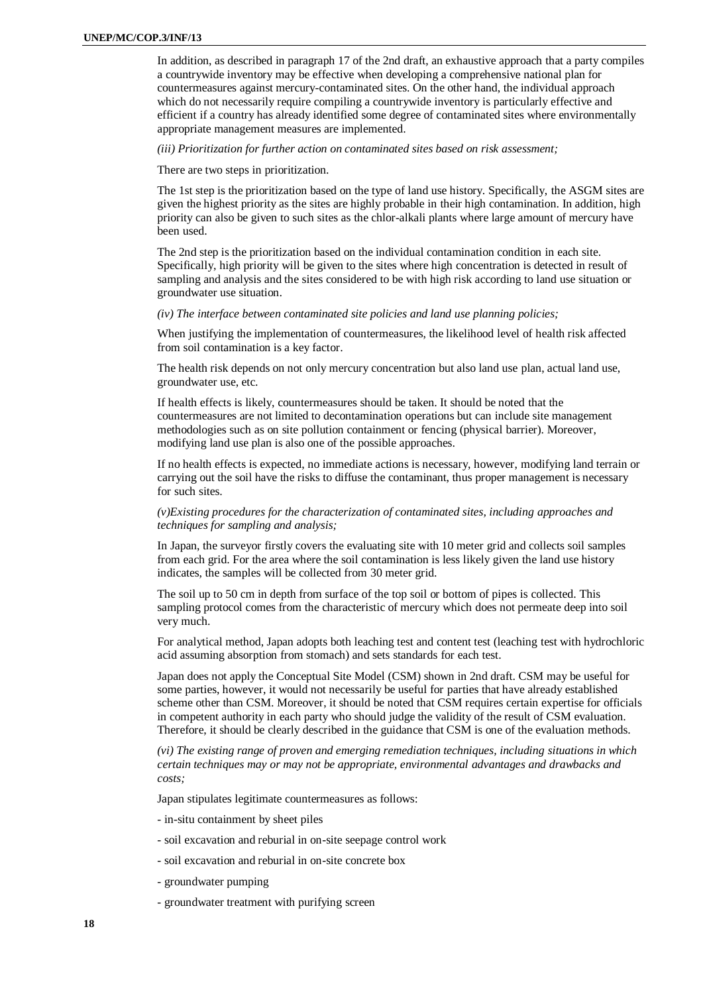In addition, as described in paragraph 17 of the 2nd draft, an exhaustive approach that a party compiles a countrywide inventory may be effective when developing a comprehensive national plan for countermeasures against mercury-contaminated sites. On the other hand, the individual approach which do not necessarily require compiling a countrywide inventory is particularly effective and efficient if a country has already identified some degree of contaminated sites where environmentally appropriate management measures are implemented.

*(iii) Prioritization for further action on contaminated sites based on risk assessment;*

There are two steps in prioritization.

The 1st step is the prioritization based on the type of land use history. Specifically, the ASGM sites are given the highest priority as the sites are highly probable in their high contamination. In addition, high priority can also be given to such sites as the chlor-alkali plants where large amount of mercury have been used.

The 2nd step is the prioritization based on the individual contamination condition in each site. Specifically, high priority will be given to the sites where high concentration is detected in result of sampling and analysis and the sites considered to be with high risk according to land use situation or groundwater use situation.

#### *(iv) The interface between contaminated site policies and land use planning policies;*

When justifying the implementation of countermeasures, the likelihood level of health risk affected from soil contamination is a key factor.

The health risk depends on not only mercury concentration but also land use plan, actual land use, groundwater use, etc.

If health effects is likely, countermeasures should be taken. It should be noted that the countermeasures are not limited to decontamination operations but can include site management methodologies such as on site pollution containment or fencing (physical barrier). Moreover, modifying land use plan is also one of the possible approaches.

If no health effects is expected, no immediate actions is necessary, however, modifying land terrain or carrying out the soil have the risks to diffuse the contaminant, thus proper management is necessary for such sites.

### *(v)Existing procedures for the characterization of contaminated sites, including approaches and techniques for sampling and analysis;*

In Japan, the surveyor firstly covers the evaluating site with 10 meter grid and collects soil samples from each grid. For the area where the soil contamination is less likely given the land use history indicates, the samples will be collected from 30 meter grid.

The soil up to 50 cm in depth from surface of the top soil or bottom of pipes is collected. This sampling protocol comes from the characteristic of mercury which does not permeate deep into soil very much.

For analytical method, Japan adopts both leaching test and content test (leaching test with hydrochloric acid assuming absorption from stomach) and sets standards for each test.

Japan does not apply the Conceptual Site Model (CSM) shown in 2nd draft. CSM may be useful for some parties, however, it would not necessarily be useful for parties that have already established scheme other than CSM. Moreover, it should be noted that CSM requires certain expertise for officials in competent authority in each party who should judge the validity of the result of CSM evaluation. Therefore, it should be clearly described in the guidance that CSM is one of the evaluation methods.

*(vi) The existing range of proven and emerging remediation techniques, including situations in which certain techniques may or may not be appropriate, environmental advantages and drawbacks and costs;*

Japan stipulates legitimate countermeasures as follows:

- in-situ containment by sheet piles

- soil excavation and reburial in on-site seepage control work
- soil excavation and reburial in on-site concrete box
- groundwater pumping
- groundwater treatment with purifying screen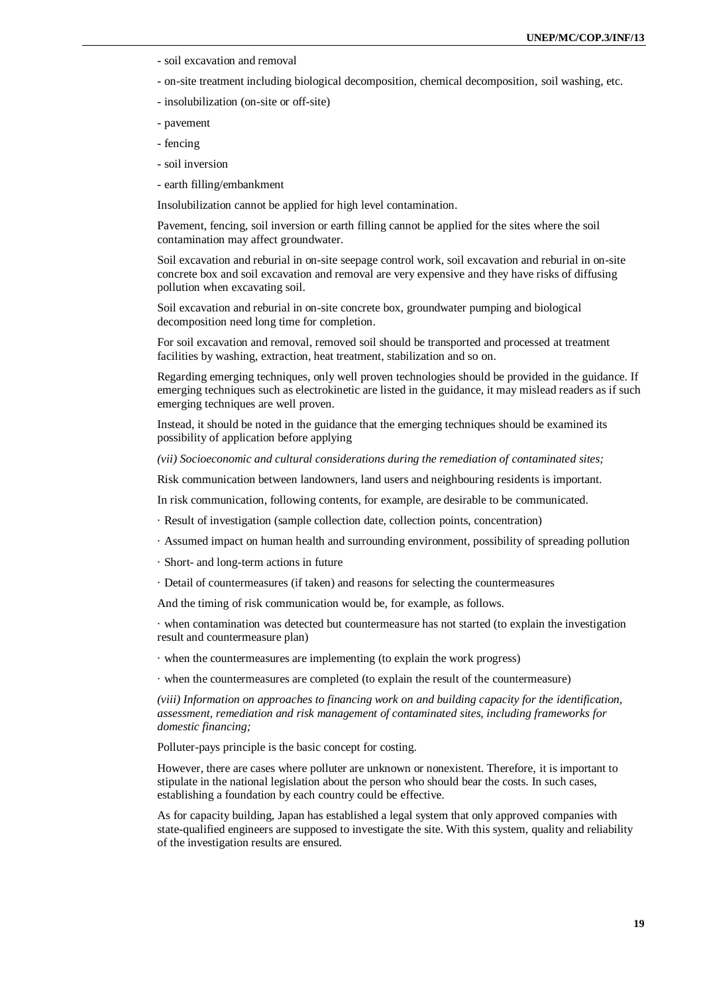- soil excavation and removal
- on-site treatment including biological decomposition, chemical decomposition, soil washing, etc.
- insolubilization (on-site or off-site)
- pavement
- fencing
- soil inversion
- earth filling/embankment

Insolubilization cannot be applied for high level contamination.

Pavement, fencing, soil inversion or earth filling cannot be applied for the sites where the soil contamination may affect groundwater.

Soil excavation and reburial in on-site seepage control work, soil excavation and reburial in on-site concrete box and soil excavation and removal are very expensive and they have risks of diffusing pollution when excavating soil.

Soil excavation and reburial in on-site concrete box, groundwater pumping and biological decomposition need long time for completion.

For soil excavation and removal, removed soil should be transported and processed at treatment facilities by washing, extraction, heat treatment, stabilization and so on.

Regarding emerging techniques, only well proven technologies should be provided in the guidance. If emerging techniques such as electrokinetic are listed in the guidance, it may mislead readers as if such emerging techniques are well proven.

Instead, it should be noted in the guidance that the emerging techniques should be examined its possibility of application before applying

*(vii) Socioeconomic and cultural considerations during the remediation of contaminated sites;*

Risk communication between landowners, land users and neighbouring residents is important.

In risk communication, following contents, for example, are desirable to be communicated.

- · Result of investigation (sample collection date, collection points, concentration)
- · Assumed impact on human health and surrounding environment, possibility of spreading pollution
- · Short- and long-term actions in future
- · Detail of countermeasures (if taken) and reasons for selecting the countermeasures

And the timing of risk communication would be, for example, as follows.

· when contamination was detected but countermeasure has not started (to explain the investigation result and countermeasure plan)

- · when the countermeasures are implementing (to explain the work progress)
- · when the countermeasures are completed (to explain the result of the countermeasure)

*(viii) Information on approaches to financing work on and building capacity for the identification, assessment, remediation and risk management of contaminated sites, including frameworks for domestic financing;*

Polluter-pays principle is the basic concept for costing.

However, there are cases where polluter are unknown or nonexistent. Therefore, it is important to stipulate in the national legislation about the person who should bear the costs. In such cases, establishing a foundation by each country could be effective.

As for capacity building, Japan has established a legal system that only approved companies with state-qualified engineers are supposed to investigate the site. With this system, quality and reliability of the investigation results are ensured.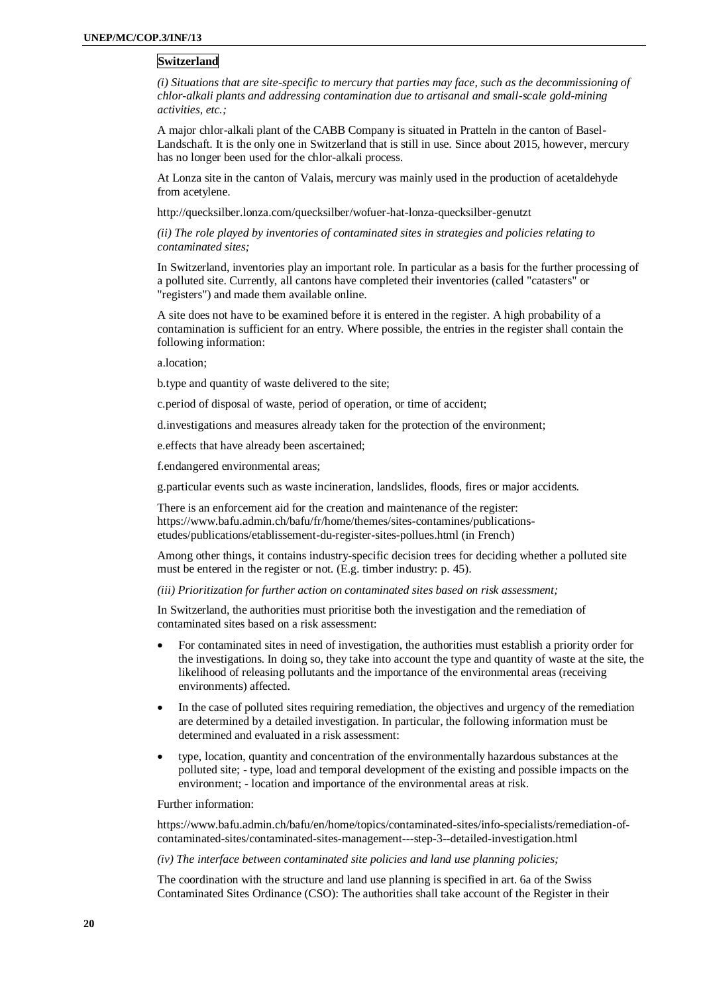### **Switzerland**

*(i) Situations that are site-specific to mercury that parties may face, such as the decommissioning of chlor-alkali plants and addressing contamination due to artisanal and small-scale gold-mining activities, etc.;*

A major chlor-alkali plant of the CABB Company is situated in Pratteln in the canton of Basel-Landschaft. It is the only one in Switzerland that is still in use. Since about 2015, however, mercury has no longer been used for the chlor-alkali process.

At Lonza site in the canton of Valais, mercury was mainly used in the production of acetaldehyde from acetylene.

http://quecksilber.lonza.com/quecksilber/wofuer-hat-lonza-quecksilber-genutzt

*(ii) The role played by inventories of contaminated sites in strategies and policies relating to contaminated sites;*

In Switzerland, inventories play an important role. In particular as a basis for the further processing of a polluted site. Currently, all cantons have completed their inventories (called "catasters" or "registers") and made them available online.

A site does not have to be examined before it is entered in the register. A high probability of a contamination is sufficient for an entry. Where possible, the entries in the register shall contain the following information:

a.location;

b.type and quantity of waste delivered to the site;

c.period of disposal of waste, period of operation, or time of accident;

d.investigations and measures already taken for the protection of the environment;

e.effects that have already been ascertained;

f.endangered environmental areas;

g.particular events such as waste incineration, landslides, floods, fires or major accidents.

There is an enforcement aid for the creation and maintenance of the register: https://www.bafu.admin.ch/bafu/fr/home/themes/sites-contamines/publicationsetudes/publications/etablissement-du-register-sites-pollues.html (in French)

Among other things, it contains industry-specific decision trees for deciding whether a polluted site must be entered in the register or not. (E.g. timber industry: p. 45).

*(iii) Prioritization for further action on contaminated sites based on risk assessment;*

In Switzerland, the authorities must prioritise both the investigation and the remediation of contaminated sites based on a risk assessment:

- For contaminated sites in need of investigation, the authorities must establish a priority order for the investigations. In doing so, they take into account the type and quantity of waste at the site, the likelihood of releasing pollutants and the importance of the environmental areas (receiving environments) affected.
- In the case of polluted sites requiring remediation, the objectives and urgency of the remediation are determined by a detailed investigation. In particular, the following information must be determined and evaluated in a risk assessment:
- type, location, quantity and concentration of the environmentally hazardous substances at the polluted site; - type, load and temporal development of the existing and possible impacts on the environment; - location and importance of the environmental areas at risk.

Further information:

https://www.bafu.admin.ch/bafu/en/home/topics/contaminated-sites/info-specialists/remediation-ofcontaminated-sites/contaminated-sites-management---step-3--detailed-investigation.html

*(iv) The interface between contaminated site policies and land use planning policies;*

The coordination with the structure and land use planning is specified in art. 6a of the Swiss Contaminated Sites Ordinance (CSO): The authorities shall take account of the Register in their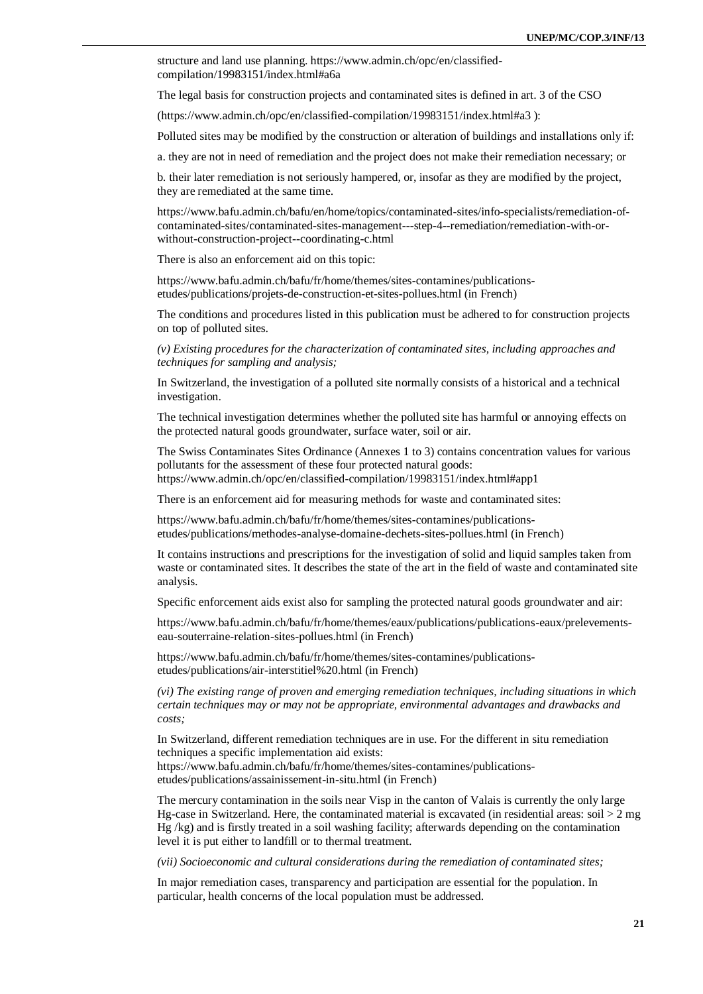structure and land use planning. https://www.admin.ch/opc/en/classifiedcompilation/19983151/index.html#a6a

The legal basis for construction projects and contaminated sites is defined in art. 3 of the CSO

(https://www.admin.ch/opc/en/classified-compilation/19983151/index.html#a3 ):

Polluted sites may be modified by the construction or alteration of buildings and installations only if:

a. they are not in need of remediation and the project does not make their remediation necessary; or

b. their later remediation is not seriously hampered, or, insofar as they are modified by the project, they are remediated at the same time.

https://www.bafu.admin.ch/bafu/en/home/topics/contaminated-sites/info-specialists/remediation-ofcontaminated-sites/contaminated-sites-management---step-4--remediation/remediation-with-orwithout-construction-project--coordinating-c.html

There is also an enforcement aid on this topic:

https://www.bafu.admin.ch/bafu/fr/home/themes/sites-contamines/publicationsetudes/publications/projets-de-construction-et-sites-pollues.html (in French)

The conditions and procedures listed in this publication must be adhered to for construction projects on top of polluted sites.

*(v) Existing procedures for the characterization of contaminated sites, including approaches and techniques for sampling and analysis;*

In Switzerland, the investigation of a polluted site normally consists of a historical and a technical investigation.

The technical investigation determines whether the polluted site has harmful or annoying effects on the protected natural goods groundwater, surface water, soil or air.

The Swiss Contaminates Sites Ordinance (Annexes 1 to 3) contains concentration values for various pollutants for the assessment of these four protected natural goods: https://www.admin.ch/opc/en/classified-compilation/19983151/index.html#app1

There is an enforcement aid for measuring methods for waste and contaminated sites:

https://www.bafu.admin.ch/bafu/fr/home/themes/sites-contamines/publicationsetudes/publications/methodes-analyse-domaine-dechets-sites-pollues.html (in French)

It contains instructions and prescriptions for the investigation of solid and liquid samples taken from waste or contaminated sites. It describes the state of the art in the field of waste and contaminated site analysis.

Specific enforcement aids exist also for sampling the protected natural goods groundwater and air:

https://www.bafu.admin.ch/bafu/fr/home/themes/eaux/publications/publications-eaux/prelevementseau-souterraine-relation-sites-pollues.html (in French)

https://www.bafu.admin.ch/bafu/fr/home/themes/sites-contamines/publicationsetudes/publications/air-interstitiel%20.html (in French)

*(vi) The existing range of proven and emerging remediation techniques, including situations in which certain techniques may or may not be appropriate, environmental advantages and drawbacks and costs;*

In Switzerland, different remediation techniques are in use. For the different in situ remediation techniques a specific implementation aid exists: https://www.bafu.admin.ch/bafu/fr/home/themes/sites-contamines/publications-

etudes/publications/assainissement-in-situ.html (in French)

The mercury contamination in the soils near Visp in the canton of Valais is currently the only large Hg-case in Switzerland. Here, the contaminated material is excavated (in residential areas:  $\text{soil} > 2 \text{ mg}$ ) Hg /kg) and is firstly treated in a soil washing facility; afterwards depending on the contamination level it is put either to landfill or to thermal treatment.

*(vii) Socioeconomic and cultural considerations during the remediation of contaminated sites;*

In major remediation cases, transparency and participation are essential for the population. In particular, health concerns of the local population must be addressed.